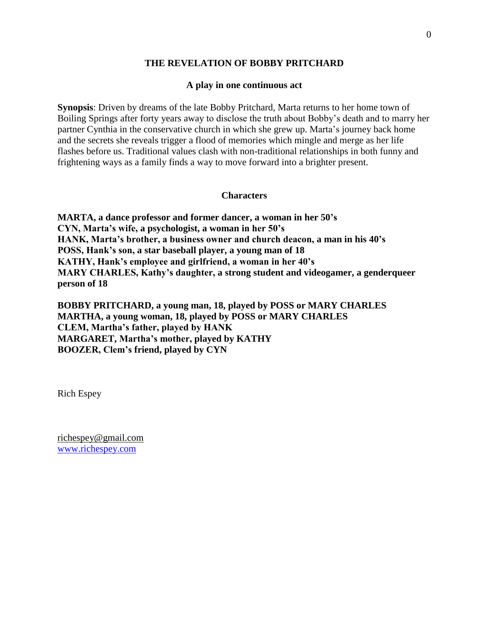## **THE REVELATION OF BOBBY PRITCHARD**

#### **A play in one continuous act**

**Synopsis**: Driven by dreams of the late Bobby Pritchard, Marta returns to her home town of Boiling Springs after forty years away to disclose the truth about Bobby's death and to marry her partner Cynthia in the conservative church in which she grew up. Marta's journey back home and the secrets she reveals trigger a flood of memories which mingle and merge as her life flashes before us. Traditional values clash with non-traditional relationships in both funny and frightening ways as a family finds a way to move forward into a brighter present.

#### **Characters**

**MARTA, a dance professor and former dancer, a woman in her 50's CYN, Marta's wife, a psychologist, a woman in her 50's HANK, Marta's brother, a business owner and church deacon, a man in his 40's POSS, Hank's son, a star baseball player, a young man of 18 KATHY, Hank's employee and girlfriend, a woman in her 40's MARY CHARLES, Kathy's daughter, a strong student and videogamer, a genderqueer person of 18**

**BOBBY PRITCHARD, a young man, 18, played by POSS or MARY CHARLES MARTHA, a young woman, 18, played by POSS or MARY CHARLES CLEM, Martha's father, played by HANK MARGARET, Martha's mother, played by KATHY BOOZER, Clem's friend, played by CYN**

Rich Espey

[richespey@gmail.com](mailto:richespey@gmail.com) [www.richespey.com](http://www.richespey.com/)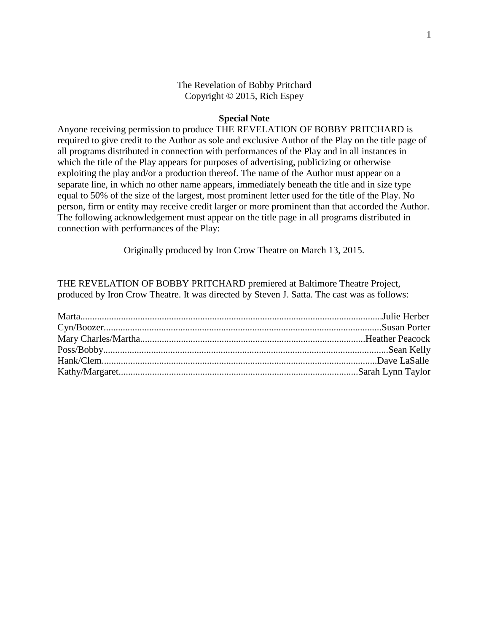## The Revelation of Bobby Pritchard Copyright © 2015, Rich Espey

#### **Special Note**

Anyone receiving permission to produce THE REVELATION OF BOBBY PRITCHARD is required to give credit to the Author as sole and exclusive Author of the Play on the title page of all programs distributed in connection with performances of the Play and in all instances in which the title of the Play appears for purposes of advertising, publicizing or otherwise exploiting the play and/or a production thereof. The name of the Author must appear on a separate line, in which no other name appears, immediately beneath the title and in size type equal to 50% of the size of the largest, most prominent letter used for the title of the Play. No person, firm or entity may receive credit larger or more prominent than that accorded the Author. The following acknowledgement must appear on the title page in all programs distributed in connection with performances of the Play:

Originally produced by Iron Crow Theatre on March 13, 2015.

THE REVELATION OF BOBBY PRITCHARD premiered at Baltimore Theatre Project, produced by Iron Crow Theatre. It was directed by Steven J. Satta. The cast was as follows: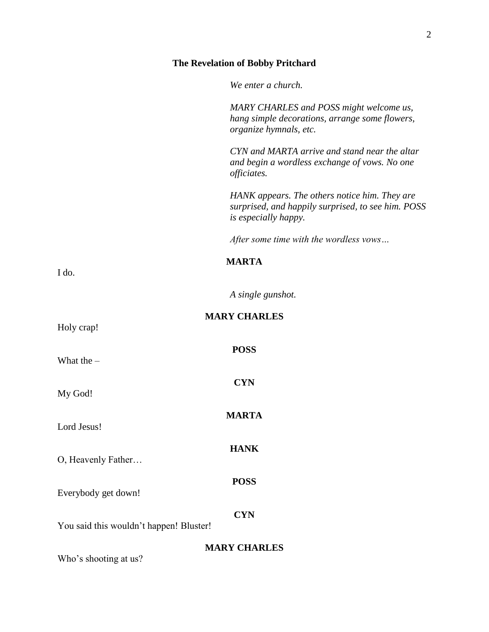# **The Revelation of Bobby Pritchard**

*We enter a church.*

|                                         | MARY CHARLES and POSS might welcome us,<br>hang simple decorations, arrange some flowers,                                   |
|-----------------------------------------|-----------------------------------------------------------------------------------------------------------------------------|
|                                         | organize hymnals, etc.                                                                                                      |
|                                         | CYN and MARTA arrive and stand near the altar<br>and begin a wordless exchange of vows. No one<br>officiates.               |
|                                         | HANK appears. The others notice him. They are<br>surprised, and happily surprised, to see him. POSS<br>is especially happy. |
|                                         | After some time with the wordless vows                                                                                      |
|                                         | <b>MARTA</b>                                                                                                                |
| I do.                                   |                                                                                                                             |
|                                         | A single gunshot.                                                                                                           |
| Holy crap!                              | <b>MARY CHARLES</b>                                                                                                         |
| What the $-$                            | <b>POSS</b>                                                                                                                 |
| My God!                                 | <b>CYN</b>                                                                                                                  |
| Lord Jesus!                             | <b>MARTA</b>                                                                                                                |
| O, Heavenly Father                      | <b>HANK</b>                                                                                                                 |
| Everybody get down!                     | <b>POSS</b>                                                                                                                 |
| You said this wouldn't happen! Bluster! | <b>CYN</b>                                                                                                                  |
| Who's shooting at us?                   | <b>MARY CHARLES</b>                                                                                                         |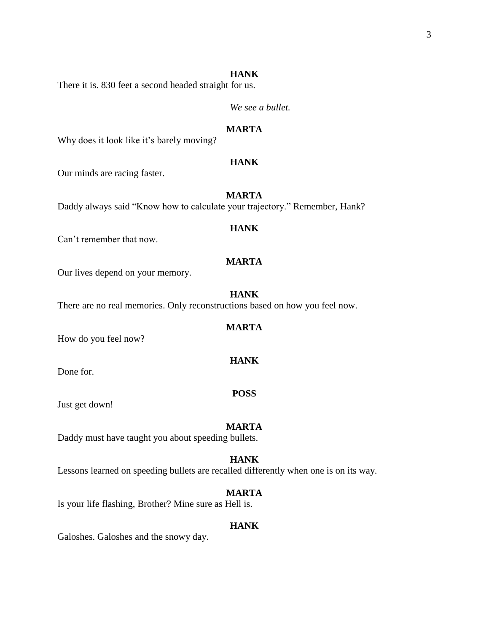#### **HANK**

There it is. 830 feet a second headed straight for us.

*We see a bullet.*

## **MARTA**

Why does it look like it's barely moving?

## **HANK**

Our minds are racing faster.

## **MARTA**

Daddy always said "Know how to calculate your trajectory." Remember, Hank?

### **HANK**

Can't remember that now.

#### **MARTA**

Our lives depend on your memory.

#### **HANK**

There are no real memories. Only reconstructions based on how you feel now.

#### **MARTA**

**HANK**

How do you feel now?

Done for.

Just get down!

#### **MARTA**

**POSS**

Daddy must have taught you about speeding bullets.

#### **HANK**

Lessons learned on speeding bullets are recalled differently when one is on its way.

## **MARTA**

Is your life flashing, Brother? Mine sure as Hell is.

#### **HANK**

Galoshes. Galoshes and the snowy day.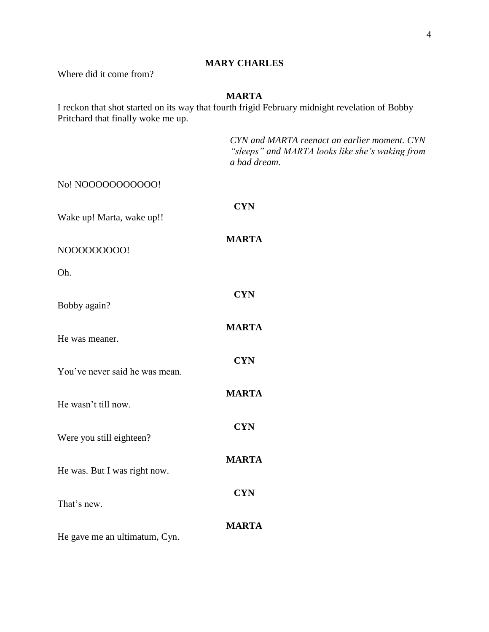## **MARY CHARLES**

Where did it come from?

## **MARTA**

I reckon that shot started on its way that fourth frigid February midnight revelation of Bobby Pritchard that finally woke me up.

|                                | CYN and MARTA reenact an earlier moment. CYN<br>"sleeps" and MARTA looks like she's waking from<br>a bad dream. |
|--------------------------------|-----------------------------------------------------------------------------------------------------------------|
| No! NOOOOOOOOOOO!              |                                                                                                                 |
| Wake up! Marta, wake up!!      | <b>CYN</b>                                                                                                      |
| N000000000!                    | <b>MARTA</b>                                                                                                    |
| Oh.                            |                                                                                                                 |
| Bobby again?                   | <b>CYN</b>                                                                                                      |
| He was meaner.                 | <b>MARTA</b>                                                                                                    |
| You've never said he was mean. | <b>CYN</b>                                                                                                      |
| He wasn't till now.            | <b>MARTA</b>                                                                                                    |
| Were you still eighteen?       | <b>CYN</b>                                                                                                      |
| He was. But I was right now.   | <b>MARTA</b>                                                                                                    |
| That's new.                    | <b>CYN</b>                                                                                                      |
| He gave me an ultimatum, Cyn.  | <b>MARTA</b>                                                                                                    |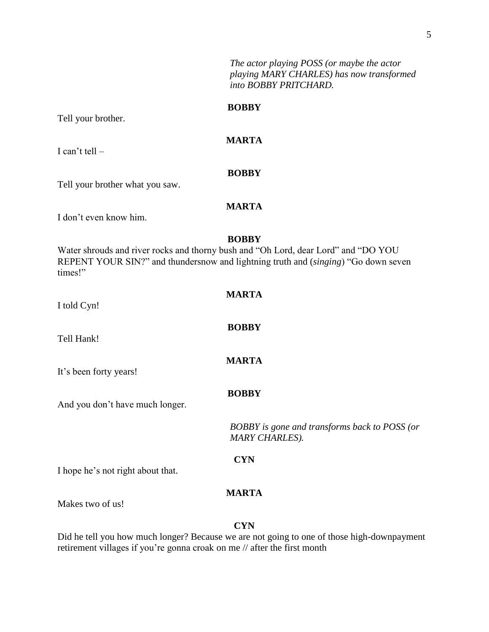*The actor playing POSS (or maybe the actor playing MARY CHARLES) has now transformed into BOBBY PRITCHARD.* 

#### **BOBBY**

Tell your brother.

**MARTA**

**BOBBY**

I can't tell –

Tell your brother what you saw.

## **MARTA**

I don't even know him.

## **BOBBY**

**MARTA**

**BOBBY**

**MARTA**

Water shrouds and river rocks and thorny bush and "Oh Lord, dear Lord" and "DO YOU REPENT YOUR SIN?" and thundersnow and lightning truth and (*singing*) "Go down seven times!"

|  |  | I told Cyn! |
|--|--|-------------|
|--|--|-------------|

Tell Hank!

It's been forty years!

**BOBBY**

And you don't have much longer.

*BOBBY is gone and transforms back to POSS (or MARY CHARLES).*

**CYN**

I hope he's not right about that.

## **MARTA**

Makes two of us!

#### **CYN**

Did he tell you how much longer? Because we are not going to one of those high-downpayment retirement villages if you're gonna croak on me // after the first month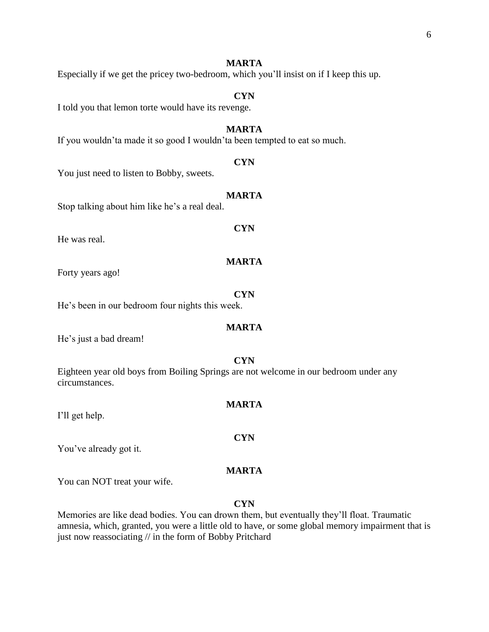Especially if we get the pricey two-bedroom, which you'll insist on if I keep this up.

#### **CYN**

I told you that lemon torte would have its revenge.

#### **MARTA**

If you wouldn'ta made it so good I wouldn'ta been tempted to eat so much.

#### **CYN**

You just need to listen to Bobby, sweets.

#### **MARTA**

**CYN**

**MARTA**

Stop talking about him like he's a real deal.

#### He was real.

Forty years ago!

# **CYN**

He's been in our bedroom four nights this week.

## **MARTA**

He's just a bad dream!

#### **CYN**

Eighteen year old boys from Boiling Springs are not welcome in our bedroom under any circumstances.

#### **MARTA**

**CYN**

I'll get help.

You've already got it.

## **MARTA**

You can NOT treat your wife.

#### **CYN**

Memories are like dead bodies. You can drown them, but eventually they'll float. Traumatic amnesia, which, granted, you were a little old to have, or some global memory impairment that is just now reassociating // in the form of Bobby Pritchard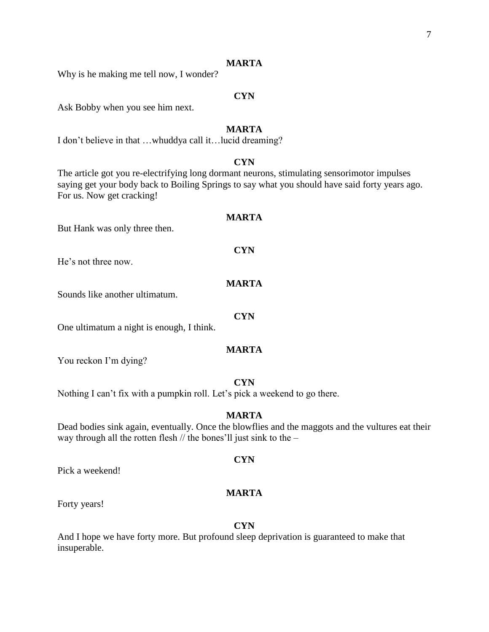Why is he making me tell now, I wonder?

## **CYN**

Ask Bobby when you see him next.

### **MARTA**

I don't believe in that …whuddya call it…lucid dreaming?

## **CYN**

The article got you re-electrifying long dormant neurons, stimulating sensorimotor impulses saying get your body back to Boiling Springs to say what you should have said forty years ago. For us. Now get cracking!

#### **MARTA**

But Hank was only three then.

He's not three now.

#### **MARTA**

Sounds like another ultimatum.

One ultimatum a night is enough, I think.

#### **MARTA**

You reckon I'm dying?

## **CYN**

Nothing I can't fix with a pumpkin roll. Let's pick a weekend to go there.

#### **MARTA**

Dead bodies sink again, eventually. Once the blowflies and the maggots and the vultures eat their way through all the rotten flesh // the bones'll just sink to the –

**CYN**

Pick a weekend!

## **MARTA**

Forty years!

#### **CYN**

And I hope we have forty more. But profound sleep deprivation is guaranteed to make that insuperable.

# **CYN**

**CYN**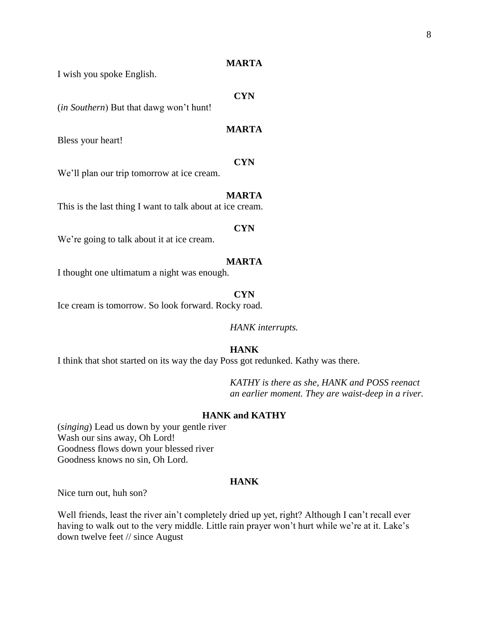I wish you spoke English.

## **CYN**

(*in Southern*) But that dawg won't hunt!

### **MARTA**

Bless your heart!

## **CYN**

We'll plan our trip tomorrow at ice cream.

#### **MARTA**

This is the last thing I want to talk about at ice cream.

#### **CYN**

We're going to talk about it at ice cream.

#### **MARTA**

I thought one ultimatum a night was enough.

#### **CYN**

Ice cream is tomorrow. So look forward. Rocky road.

*HANK interrupts.*

#### **HANK**

I think that shot started on its way the day Poss got redunked. Kathy was there.

*KATHY is there as she, HANK and POSS reenact an earlier moment. They are waist-deep in a river.*

#### **HANK and KATHY**

(*singing*) Lead us down by your gentle river Wash our sins away, Oh Lord! Goodness flows down your blessed river Goodness knows no sin, Oh Lord.

#### **HANK**

Nice turn out, huh son?

Well friends, least the river ain't completely dried up yet, right? Although I can't recall ever having to walk out to the very middle. Little rain prayer won't hurt while we're at it. Lake's down twelve feet // since August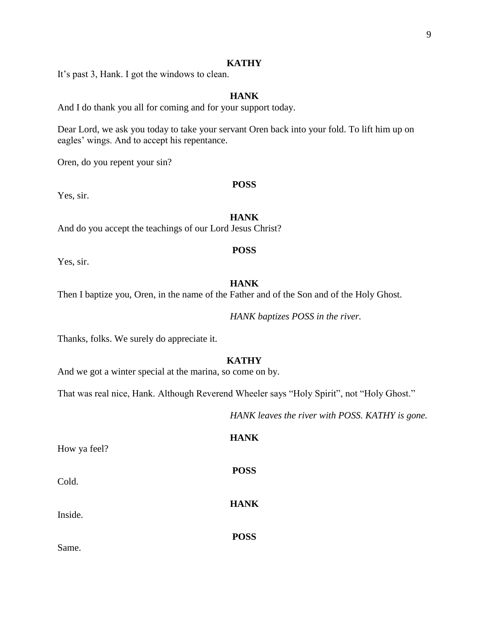#### **KATHY**

It's past 3, Hank. I got the windows to clean.

## **HANK**

And I do thank you all for coming and for your support today.

Dear Lord, we ask you today to take your servant Oren back into your fold. To lift him up on eagles' wings. And to accept his repentance.

Oren, do you repent your sin?

## **POSS**

Yes, sir.

#### **HANK**

And do you accept the teachings of our Lord Jesus Christ?

## **POSS**

Yes, sir.

## **HANK**

Then I baptize you, Oren, in the name of the Father and of the Son and of the Holy Ghost.

*HANK baptizes POSS in the river.* 

Thanks, folks. We surely do appreciate it.

#### **KATHY**

And we got a winter special at the marina, so come on by.

That was real nice, Hank. Although Reverend Wheeler says "Holy Spirit", not "Holy Ghost."

*HANK leaves the river with POSS. KATHY is gone.*

How ya feel?

Cold.

Inside.

**HANK**

**POSS**

**HANK**

**POSS**

Same.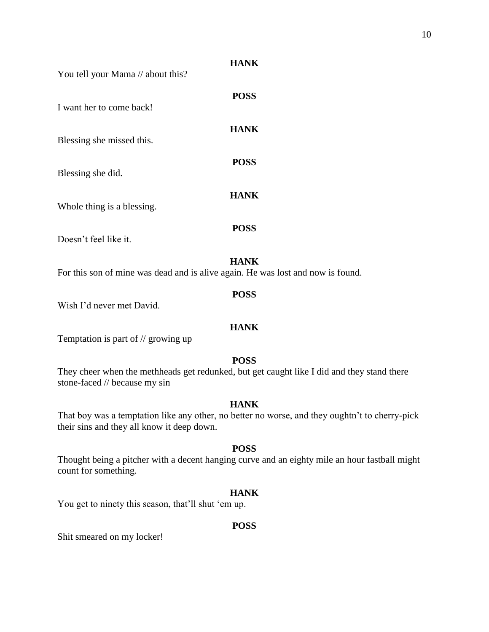You tell your Mama // about this?

| I want her to come back!   | <b>POSS</b> |
|----------------------------|-------------|
| Blessing she missed this.  | <b>HANK</b> |
| Blessing she did.          | <b>POSS</b> |
| Whole thing is a blessing. | <b>HANK</b> |
| Doesn't feel like it.      | <b>POSS</b> |

## **HANK**

For this son of mine was dead and is alive again. He was lost and now is found.

Wish I'd never met David.

## **HANK**

**POSS**

Temptation is part of // growing up

## **POSS**

They cheer when the methheads get redunked, but get caught like I did and they stand there stone-faced // because my sin

## **HANK**

That boy was a temptation like any other, no better no worse, and they oughtn't to cherry-pick their sins and they all know it deep down.

## **POSS**

Thought being a pitcher with a decent hanging curve and an eighty mile an hour fastball might count for something.

## **HANK**

You get to ninety this season, that'll shut 'em up.

## **POSS**

Shit smeared on my locker!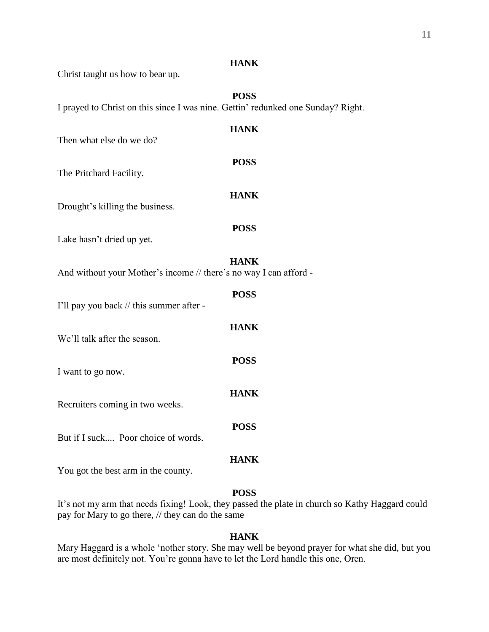| Christ taught us how to bear up.                                                 | <b>HANK</b> |
|----------------------------------------------------------------------------------|-------------|
| I prayed to Christ on this since I was nine. Gettin' redunked one Sunday? Right. | <b>POSS</b> |
| Then what else do we do?                                                         | <b>HANK</b> |
| The Pritchard Facility.                                                          | <b>POSS</b> |
| Drought's killing the business.                                                  | <b>HANK</b> |
| Lake hasn't dried up yet.                                                        | <b>POSS</b> |
| And without your Mother's income // there's no way I can afford -                | <b>HANK</b> |
| I'll pay you back // this summer after -                                         | <b>POSS</b> |
| We'll talk after the season.                                                     | <b>HANK</b> |
| I want to go now.                                                                | <b>POSS</b> |
| Recruiters coming in two weeks.                                                  | <b>HANK</b> |
| But if I suck Poor choice of words.                                              | <b>POSS</b> |
| You got the best arm in the county.                                              | <b>HANK</b> |
|                                                                                  |             |

## **POSS**

It's not my arm that needs fixing! Look, they passed the plate in church so Kathy Haggard could pay for Mary to go there, // they can do the same

## **HANK**

Mary Haggard is a whole 'nother story. She may well be beyond prayer for what she did, but you are most definitely not. You're gonna have to let the Lord handle this one, Oren.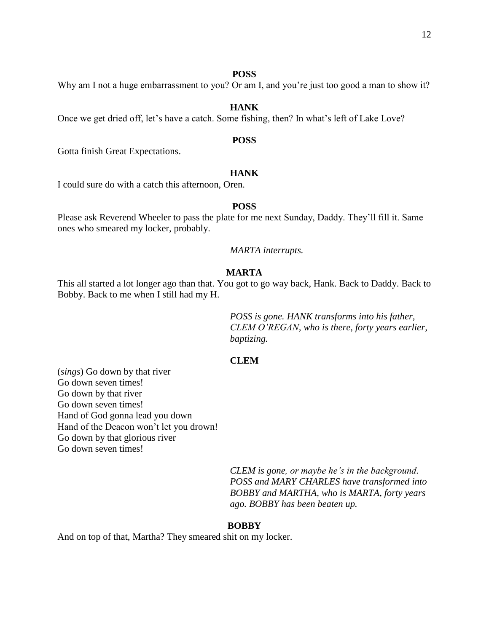#### **POSS**

Why am I not a huge embarrassment to you? Or am I, and you're just too good a man to show it?

## **HANK**

Once we get dried off, let's have a catch. Some fishing, then? In what's left of Lake Love?

## **POSS**

Gotta finish Great Expectations.

## **HANK**

I could sure do with a catch this afternoon, Oren.

## **POSS**

Please ask Reverend Wheeler to pass the plate for me next Sunday, Daddy. They'll fill it. Same ones who smeared my locker, probably.

*MARTA interrupts.*

#### **MARTA**

This all started a lot longer ago than that. You got to go way back, Hank. Back to Daddy. Back to Bobby. Back to me when I still had my H.

> *POSS is gone. HANK transforms into his father, CLEM O'REGAN, who is there, forty years earlier, baptizing.*

#### **CLEM**

(*sings*) Go down by that river Go down seven times! Go down by that river Go down seven times! Hand of God gonna lead you down Hand of the Deacon won't let you drown! Go down by that glorious river Go down seven times!

> *CLEM is gone, or maybe he's in the background. POSS and MARY CHARLES have transformed into BOBBY and MARTHA, who is MARTA, forty years ago. BOBBY has been beaten up.*

#### **BOBBY**

And on top of that, Martha? They smeared shit on my locker.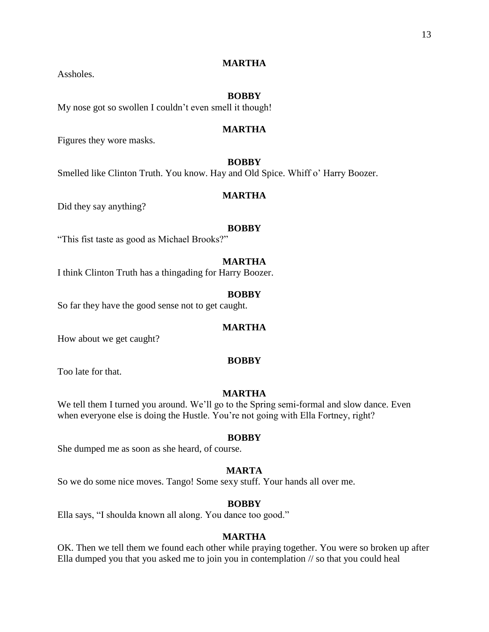#### **BOBBY**

My nose got so swollen I couldn't even smell it though!

#### **MARTHA**

Figures they wore masks.

Assholes.

## **BOBBY**

Smelled like Clinton Truth. You know. Hay and Old Spice. Whiff o' Harry Boozer.

#### **MARTHA**

Did they say anything?

#### **BOBBY**

"This fist taste as good as Michael Brooks?"

#### **MARTHA**

I think Clinton Truth has a thingading for Harry Boozer.

## **BOBBY**

So far they have the good sense not to get caught.

#### **MARTHA**

How about we get caught?

#### **BOBBY**

Too late for that.

#### **MARTHA**

We tell them I turned you around. We'll go to the Spring semi-formal and slow dance. Even when everyone else is doing the Hustle. You're not going with Ella Fortney, right?

#### **BOBBY**

She dumped me as soon as she heard, of course.

#### **MARTA**

So we do some nice moves. Tango! Some sexy stuff. Your hands all over me.

#### **BOBBY**

Ella says, "I shoulda known all along. You dance too good."

## **MARTHA**

OK. Then we tell them we found each other while praying together. You were so broken up after Ella dumped you that you asked me to join you in contemplation // so that you could heal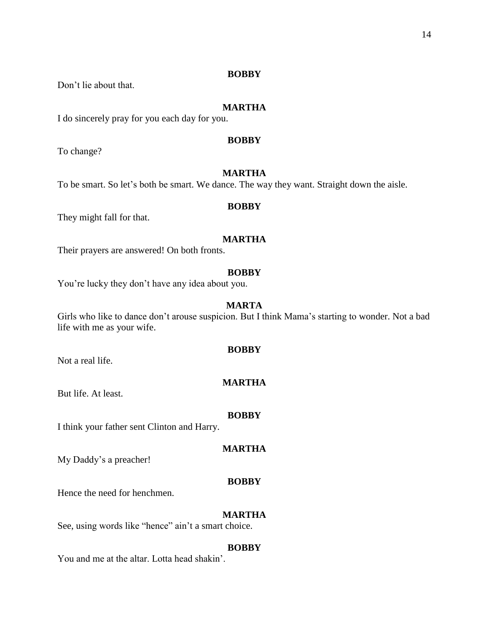#### **BOBBY**

Don't lie about that.

## **MARTHA**

I do sincerely pray for you each day for you.

## **BOBBY**

To change?

## **MARTHA**

To be smart. So let's both be smart. We dance. The way they want. Straight down the aisle.

#### **BOBBY**

They might fall for that.

## **MARTHA**

Their prayers are answered! On both fronts.

#### **BOBBY**

You're lucky they don't have any idea about you.

## **MARTA**

Girls who like to dance don't arouse suspicion. But I think Mama's starting to wonder. Not a bad life with me as your wife.

#### **BOBBY**

Not a real life.

## **MARTHA**

But life. At least.

#### **BOBBY**

I think your father sent Clinton and Harry.

#### **MARTHA**

My Daddy's a preacher!

#### **BOBBY**

Hence the need for henchmen.

## **MARTHA**

See, using words like "hence" ain't a smart choice.

#### **BOBBY**

You and me at the altar. Lotta head shakin'.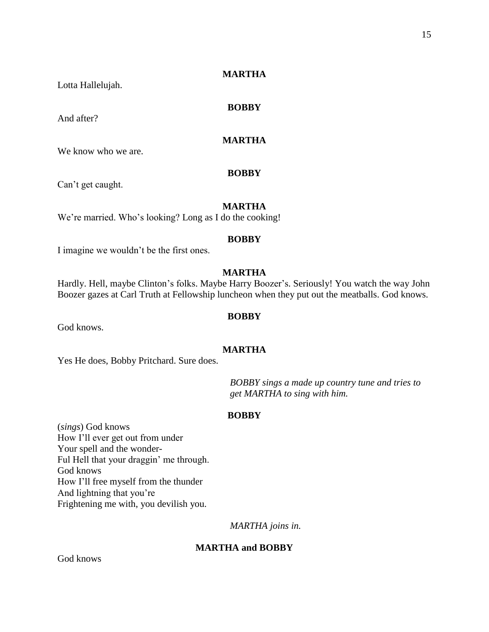Lotta Hallelujah.

And after?

**BOBBY**

## **MARTHA**

We know who we are.

## **BOBBY**

Can't get caught.

## **MARTHA**

We're married. Who's looking? Long as I do the cooking!

## **BOBBY**

I imagine we wouldn't be the first ones.

## **MARTHA**

Hardly. Hell, maybe Clinton's folks. Maybe Harry Boozer's. Seriously! You watch the way John Boozer gazes at Carl Truth at Fellowship luncheon when they put out the meatballs. God knows.

#### **BOBBY**

God knows.

#### **MARTHA**

Yes He does, Bobby Pritchard. Sure does.

*BOBBY sings a made up country tune and tries to get MARTHA to sing with him.*

#### **BOBBY**

(*sings*) God knows How I'll ever get out from under Your spell and the wonder-Ful Hell that your draggin' me through. God knows How I'll free myself from the thunder And lightning that you're Frightening me with, you devilish you.

*MARTHA joins in.*

#### **MARTHA and BOBBY**

God knows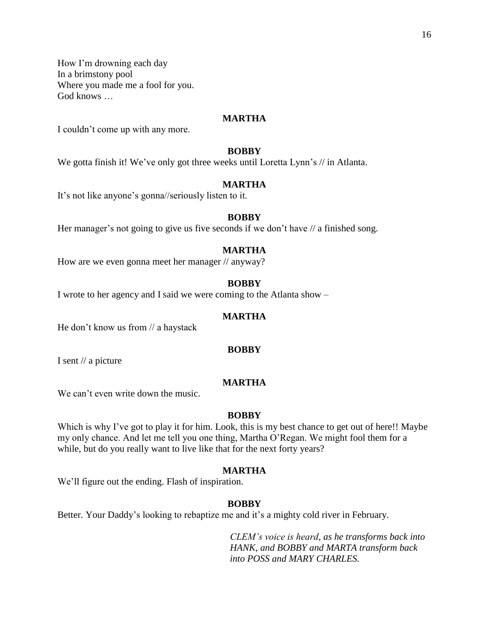How I'm drowning each day In a brimstony pool Where you made me a fool for you. God knows …

#### **MARTHA**

I couldn't come up with any more.

#### **BOBBY**

We gotta finish it! We've only got three weeks until Loretta Lynn's // in Atlanta.

## **MARTHA**

It's not like anyone's gonna//seriously listen to it.

#### **BOBBY**

Her manager's not going to give us five seconds if we don't have  $\theta$  a finished song.

#### **MARTHA**

How are we even gonna meet her manager // anyway?

#### **BOBBY**

I wrote to her agency and I said we were coming to the Atlanta show –

#### **MARTHA**

He don't know us from // a haystack

#### **BOBBY**

I sent // a picture

## **MARTHA**

We can't even write down the music.

#### **BOBBY**

Which is why I've got to play it for him. Look, this is my best chance to get out of here!! Maybe my only chance. And let me tell you one thing, Martha O'Regan. We might fool them for a while, but do you really want to live like that for the next forty years?

#### **MARTHA**

We'll figure out the ending. Flash of inspiration.

#### **BOBBY**

Better. Your Daddy's looking to rebaptize me and it's a mighty cold river in February.

*CLEM's voice is heard, as he transforms back into HANK, and BOBBY and MARTA transform back into POSS and MARY CHARLES.*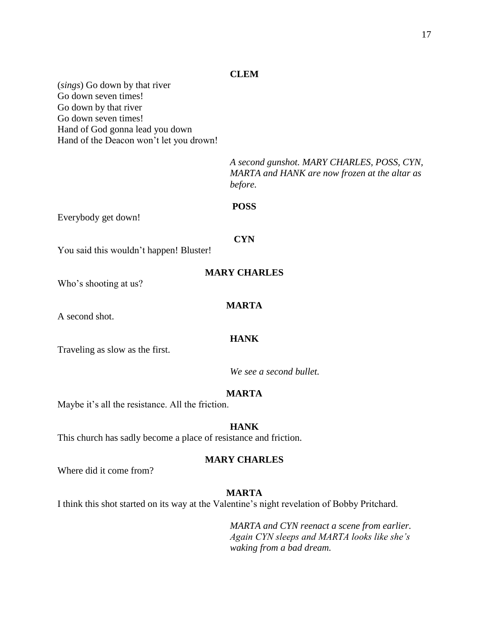#### **CLEM**

(*sings*) Go down by that river Go down seven times! Go down by that river Go down seven times! Hand of God gonna lead you down Hand of the Deacon won't let you drown!

> *A second gunshot. MARY CHARLES, POSS, CYN, MARTA and HANK are now frozen at the altar as before.*

## **POSS**

Everybody get down!

You said this wouldn't happen! Bluster!

**CYN**

Who's shooting at us?

## **MARTA**

A second shot.

## **HANK**

Traveling as slow as the first.

*We see a second bullet.*

#### **MARTA**

Maybe it's all the resistance. All the friction.

## **HANK**

This church has sadly become a place of resistance and friction.

#### **MARY CHARLES**

Where did it come from?

#### **MARTA**

I think this shot started on its way at the Valentine's night revelation of Bobby Pritchard.

*MARTA and CYN reenact a scene from earlier. Again CYN sleeps and MARTA looks like she's waking from a bad dream.*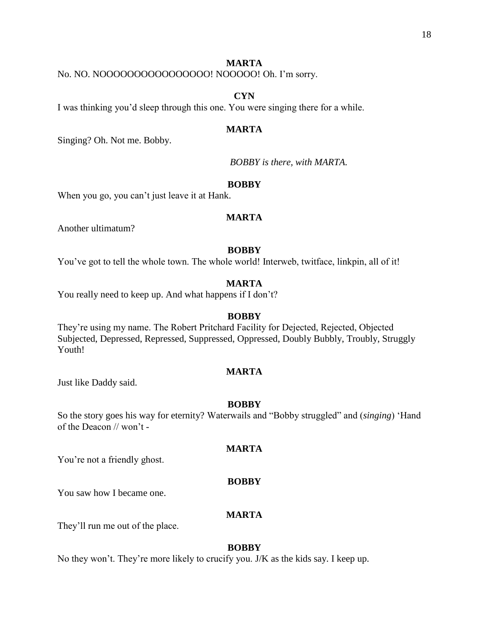No. NO. NOOOOOOOOOOOOOOOO! NOOOOO! Oh. I'm sorry.

## **CYN**

I was thinking you'd sleep through this one. You were singing there for a while.

#### **MARTA**

Singing? Oh. Not me. Bobby.

*BOBBY is there, with MARTA.*

## **BOBBY**

When you go, you can't just leave it at Hank.

### **MARTA**

Another ultimatum?

#### **BOBBY**

You've got to tell the whole town. The whole world! Interweb, twitface, linkpin, all of it!

#### **MARTA**

You really need to keep up. And what happens if I don't?

#### **BOBBY**

They're using my name. The Robert Pritchard Facility for Dejected, Rejected, Objected Subjected, Depressed, Repressed, Suppressed, Oppressed, Doubly Bubbly, Troubly, Struggly Youth!

## **MARTA**

Just like Daddy said.

#### **BOBBY**

So the story goes his way for eternity? Waterwails and "Bobby struggled" and (*singing*) 'Hand of the Deacon // won't -

You're not a friendly ghost.

#### **BOBBY**

**MARTA**

You saw how I became one.

#### **MARTA**

They'll run me out of the place.

#### **BOBBY**

No they won't. They're more likely to crucify you. J/K as the kids say. I keep up.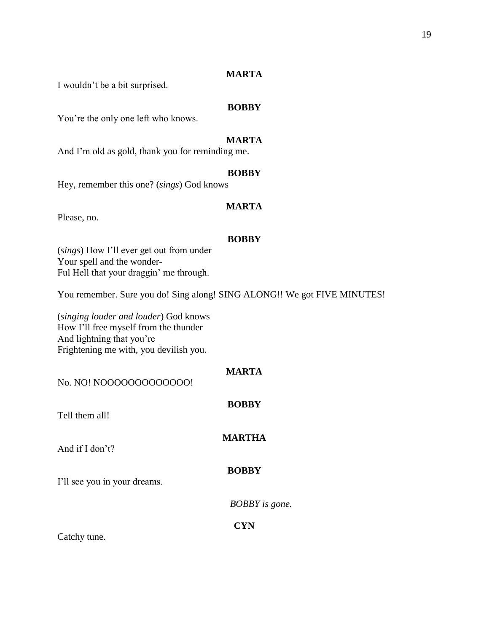I wouldn't be a bit surprised.

## **BOBBY**

You're the only one left who knows.

## **MARTA**

And I'm old as gold, thank you for reminding me.

#### **BOBBY**

Hey, remember this one? (*sings*) God knows

## **MARTA**

Please, no.

## **BOBBY**

(*sings*) How I'll ever get out from under Your spell and the wonder-Ful Hell that your draggin' me through.

You remember. Sure you do! Sing along! SING ALONG!! We got FIVE MINUTES!

(*singing louder and louder*) God knows How I'll free myself from the thunder And lightning that you're Frightening me with, you devilish you.

| No. NO! NOOOOOOOOOOOOO!      | <b>MARTA</b>          |
|------------------------------|-----------------------|
| Tell them all!               | <b>BOBBY</b>          |
| And if I don't?              | <b>MARTHA</b>         |
| I'll see you in your dreams. | <b>BOBBY</b>          |
|                              | <b>BOBBY</b> is gone. |
| Catchy tune.                 | <b>CYN</b>            |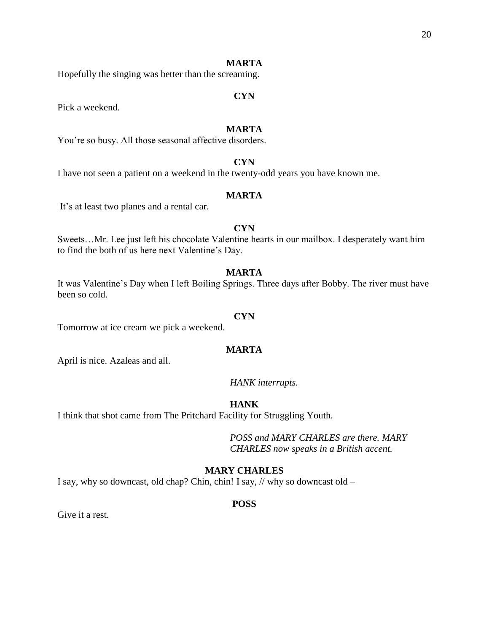Hopefully the singing was better than the screaming.

#### **CYN**

Pick a weekend.

## **MARTA**

You're so busy. All those seasonal affective disorders.

## **CYN**

I have not seen a patient on a weekend in the twenty-odd years you have known me.

#### **MARTA**

It's at least two planes and a rental car.

## **CYN**

Sweets…Mr. Lee just left his chocolate Valentine hearts in our mailbox. I desperately want him to find the both of us here next Valentine's Day.

## **MARTA**

It was Valentine's Day when I left Boiling Springs. Three days after Bobby. The river must have been so cold.

#### **CYN**

Tomorrow at ice cream we pick a weekend.

#### **MARTA**

April is nice. Azaleas and all.

## *HANK interrupts.*

## **HANK**

I think that shot came from The Pritchard Facility for Struggling Youth.

*POSS and MARY CHARLES are there. MARY CHARLES now speaks in a British accent.*

## **MARY CHARLES**

I say, why so downcast, old chap? Chin, chin! I say, // why so downcast old –

#### **POSS**

Give it a rest.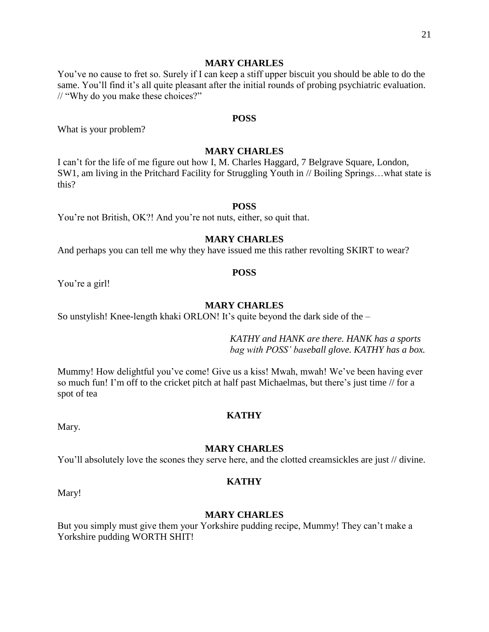#### **MARY CHARLES**

You've no cause to fret so. Surely if I can keep a stiff upper biscuit you should be able to do the same. You'll find it's all quite pleasant after the initial rounds of probing psychiatric evaluation. // "Why do you make these choices?"

#### **POSS**

What is your problem?

## **MARY CHARLES**

I can't for the life of me figure out how I, M. Charles Haggard, 7 Belgrave Square, London, SW1, am living in the Pritchard Facility for Struggling Youth in // Boiling Springs…what state is this?

## **POSS**

You're not British, OK?! And you're not nuts, either, so quit that.

## **MARY CHARLES**

And perhaps you can tell me why they have issued me this rather revolting SKIRT to wear?

#### **POSS**

You're a girl!

#### **MARY CHARLES**

So unstylish! Knee-length khaki ORLON! It's quite beyond the dark side of the –

*KATHY and HANK are there. HANK has a sports bag with POSS' baseball glove. KATHY has a box.*

Mummy! How delightful you've come! Give us a kiss! Mwah, mwah! We've been having ever so much fun! I'm off to the cricket pitch at half past Michaelmas, but there's just time // for a spot of tea

#### **KATHY**

Mary.

#### **MARY CHARLES**

You'll absolutely love the scones they serve here, and the clotted creamsickles are just // divine.

#### **KATHY**

Mary!

## **MARY CHARLES**

But you simply must give them your Yorkshire pudding recipe, Mummy! They can't make a Yorkshire pudding WORTH SHIT!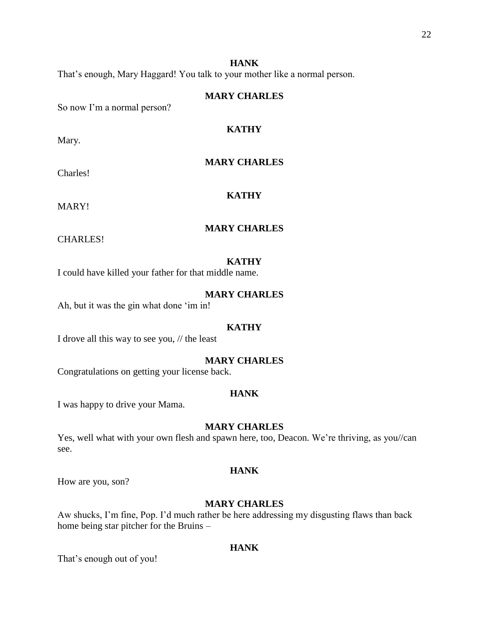22

## **HANK**

That's enough, Mary Haggard! You talk to your mother like a normal person.

## **MARY CHARLES**

**KATHY**

**MARY CHARLES**

So now I'm a normal person?

Mary.

Charles!

MARY!

**KATHY**

## **MARY CHARLES**

CHARLES!

## **KATHY**

I could have killed your father for that middle name.

## **MARY CHARLES**

Ah, but it was the gin what done 'im in!

#### **KATHY**

I drove all this way to see you, // the least

## **MARY CHARLES**

Congratulations on getting your license back.

#### **HANK**

I was happy to drive your Mama.

## **MARY CHARLES**

Yes, well what with your own flesh and spawn here, too, Deacon. We're thriving, as you//can see.

#### **HANK**

How are you, son?

## **MARY CHARLES**

Aw shucks, I'm fine, Pop. I'd much rather be here addressing my disgusting flaws than back home being star pitcher for the Bruins –

#### **HANK**

That's enough out of you!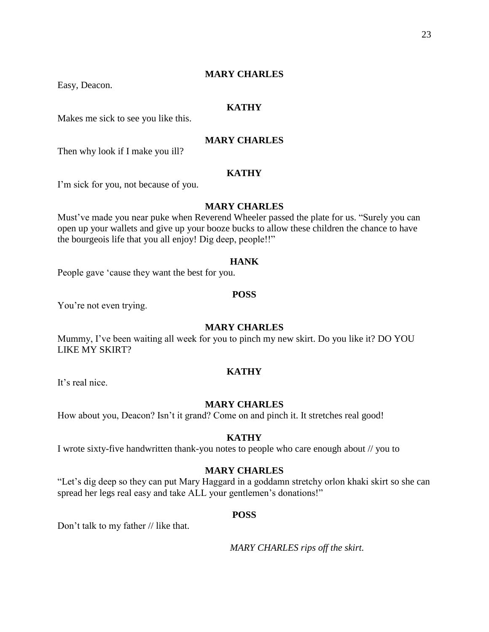## **MARY CHARLES**

Easy, Deacon.

## **KATHY**

Makes me sick to see you like this.

## **MARY CHARLES**

Then why look if I make you ill?

## **KATHY**

I'm sick for you, not because of you.

## **MARY CHARLES**

Must've made you near puke when Reverend Wheeler passed the plate for us. "Surely you can open up your wallets and give up your booze bucks to allow these children the chance to have the bourgeois life that you all enjoy! Dig deep, people!!"

#### **HANK**

People gave 'cause they want the best for you.

#### **POSS**

You're not even trying.

#### **MARY CHARLES**

Mummy, I've been waiting all week for you to pinch my new skirt. Do you like it? DO YOU LIKE MY SKIRT?

## **KATHY**

It's real nice.

#### **MARY CHARLES**

How about you, Deacon? Isn't it grand? Come on and pinch it. It stretches real good!

#### **KATHY**

I wrote sixty-five handwritten thank-you notes to people who care enough about // you to

## **MARY CHARLES**

"Let's dig deep so they can put Mary Haggard in a goddamn stretchy orlon khaki skirt so she can spread her legs real easy and take ALL your gentlemen's donations!"

#### **POSS**

Don't talk to my father // like that.

*MARY CHARLES rips off the skirt.*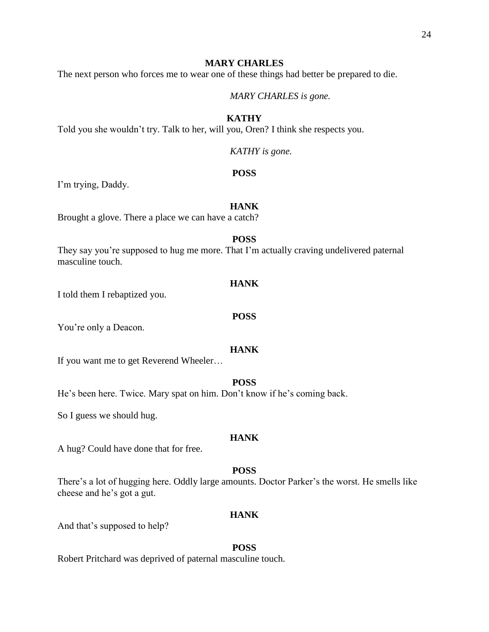## **MARY CHARLES**

The next person who forces me to wear one of these things had better be prepared to die.

*MARY CHARLES is gone.*

## **KATHY**

Told you she wouldn't try. Talk to her, will you, Oren? I think she respects you.

*KATHY is gone.*

#### **POSS**

I'm trying, Daddy.

## **HANK**

Brought a glove. There a place we can have a catch?

## **POSS**

They say you're supposed to hug me more. That I'm actually craving undelivered paternal masculine touch.

#### **HANK**

I told them I rebaptized you.

#### **POSS**

You're only a Deacon.

#### **HANK**

If you want me to get Reverend Wheeler…

## **POSS**

He's been here. Twice. Mary spat on him. Don't know if he's coming back.

So I guess we should hug.

#### **HANK**

A hug? Could have done that for free.

## **POSS**

There's a lot of hugging here. Oddly large amounts. Doctor Parker's the worst. He smells like cheese and he's got a gut.

#### **HANK**

And that's supposed to help?

#### **POSS**

Robert Pritchard was deprived of paternal masculine touch.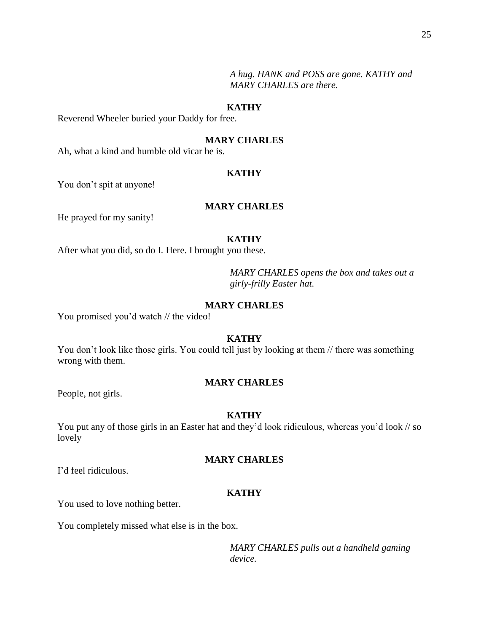*A hug. HANK and POSS are gone. KATHY and MARY CHARLES are there.*

## **KATHY**

Reverend Wheeler buried your Daddy for free.

## **MARY CHARLES**

Ah, what a kind and humble old vicar he is.

#### **KATHY**

You don't spit at anyone!

## **MARY CHARLES**

He prayed for my sanity!

## **KATHY**

After what you did, so do I. Here. I brought you these.

*MARY CHARLES opens the box and takes out a girly-frilly Easter hat.* 

## **MARY CHARLES**

You promised you'd watch // the video!

## **KATHY**

You don't look like those girls. You could tell just by looking at them  $\theta$  there was something wrong with them.

## **MARY CHARLES**

People, not girls.

#### **KATHY**

You put any of those girls in an Easter hat and they'd look ridiculous, whereas you'd look // so lovely

#### **MARY CHARLES**

I'd feel ridiculous.

## **KATHY**

You used to love nothing better.

You completely missed what else is in the box.

*MARY CHARLES pulls out a handheld gaming device.*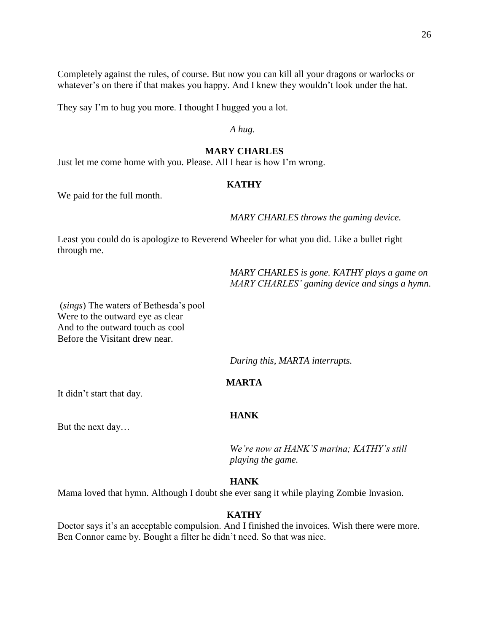Completely against the rules, of course. But now you can kill all your dragons or warlocks or whatever's on there if that makes you happy. And I knew they wouldn't look under the hat.

They say I'm to hug you more. I thought I hugged you a lot.

*A hug.*

## **MARY CHARLES**

Just let me come home with you. Please. All I hear is how I'm wrong.

## **KATHY**

We paid for the full month.

*MARY CHARLES throws the gaming device.*

Least you could do is apologize to Reverend Wheeler for what you did. Like a bullet right through me.

> *MARY CHARLES is gone. KATHY plays a game on MARY CHARLES' gaming device and sings a hymn.*

(*sings*) The waters of Bethesda's pool Were to the outward eye as clear And to the outward touch as cool Before the Visitant drew near.

*During this, MARTA interrupts.*

## **MARTA**

It didn't start that day.

## **HANK**

But the next day…

*We're now at HANK'S marina; KATHY's still playing the game.*

## **HANK**

Mama loved that hymn. Although I doubt she ever sang it while playing Zombie Invasion.

## **KATHY**

Doctor says it's an acceptable compulsion. And I finished the invoices. Wish there were more. Ben Connor came by. Bought a filter he didn't need. So that was nice.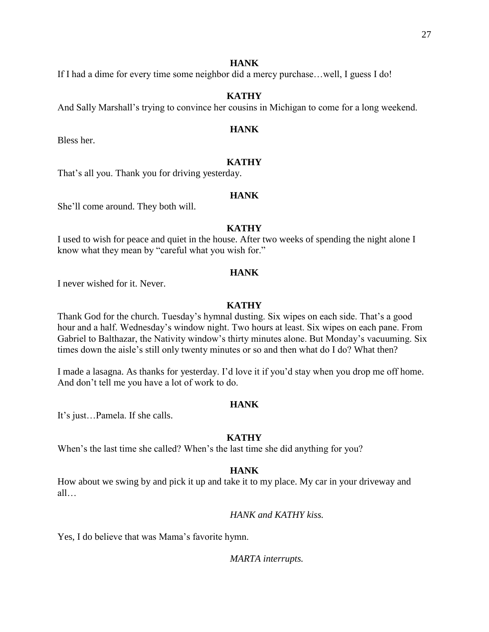## **HANK**

If I had a dime for every time some neighbor did a mercy purchase…well, I guess I do!

## **KATHY**

And Sally Marshall's trying to convince her cousins in Michigan to come for a long weekend.

## **HANK**

Bless her.

## **KATHY**

That's all you. Thank you for driving yesterday.

## **HANK**

She'll come around. They both will.

## **KATHY**

I used to wish for peace and quiet in the house. After two weeks of spending the night alone I know what they mean by "careful what you wish for."

### **HANK**

I never wished for it. Never.

## **KATHY**

Thank God for the church. Tuesday's hymnal dusting. Six wipes on each side. That's a good hour and a half. Wednesday's window night. Two hours at least. Six wipes on each pane. From Gabriel to Balthazar, the Nativity window's thirty minutes alone. But Monday's vacuuming. Six times down the aisle's still only twenty minutes or so and then what do I do? What then?

I made a lasagna. As thanks for yesterday. I'd love it if you'd stay when you drop me off home. And don't tell me you have a lot of work to do.

#### **HANK**

It's just…Pamela. If she calls.

## **KATHY**

When's the last time she called? When's the last time she did anything for you?

## **HANK**

How about we swing by and pick it up and take it to my place. My car in your driveway and all…

*HANK and KATHY kiss.*

Yes, I do believe that was Mama's favorite hymn.

*MARTA interrupts.*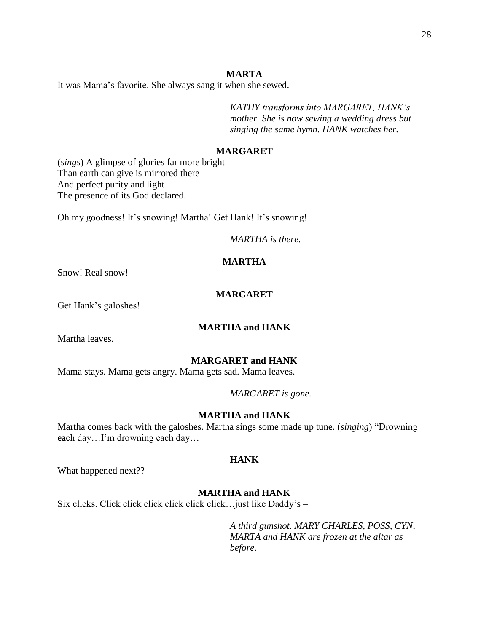It was Mama's favorite. She always sang it when she sewed.

*KATHY transforms into MARGARET, HANK's mother. She is now sewing a wedding dress but singing the same hymn. HANK watches her.*

## **MARGARET**

(*sings*) A glimpse of glories far more bright Than earth can give is mirrored there And perfect purity and light The presence of its God declared.

Oh my goodness! It's snowing! Martha! Get Hank! It's snowing!

*MARTHA is there.*

## **MARTHA**

Snow! Real snow!

## **MARGARET**

Get Hank's galoshes!

#### **MARTHA and HANK**

Martha leaves.

## **MARGARET and HANK**

Mama stays. Mama gets angry. Mama gets sad. Mama leaves.

*MARGARET is gone.*

#### **MARTHA and HANK**

Martha comes back with the galoshes. Martha sings some made up tune. (*singing*) "Drowning each day…I'm drowning each day…

#### **HANK**

What happened next??

## **MARTHA and HANK**

Six clicks. Click click click click click click…just like Daddy's –

*A third gunshot. MARY CHARLES, POSS, CYN, MARTA and HANK are frozen at the altar as before.*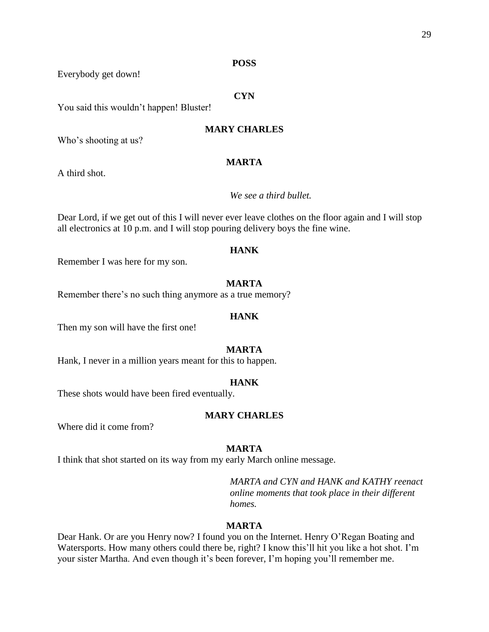## **POSS**

Everybody get down!

## **CYN**

You said this wouldn't happen! Bluster!

## **MARY CHARLES**

Who's shooting at us?

## **MARTA**

A third shot.

## *We see a third bullet.*

Dear Lord, if we get out of this I will never ever leave clothes on the floor again and I will stop all electronics at 10 p.m. and I will stop pouring delivery boys the fine wine.

## **HANK**

Remember I was here for my son.

## **MARTA**

Remember there's no such thing anymore as a true memory?

## **HANK**

Then my son will have the first one!

#### **MARTA**

Hank, I never in a million years meant for this to happen.

## **HANK**

These shots would have been fired eventually.

#### **MARY CHARLES**

Where did it come from?

## **MARTA**

I think that shot started on its way from my early March online message.

*MARTA and CYN and HANK and KATHY reenact online moments that took place in their different homes.* 

## **MARTA**

Dear Hank. Or are you Henry now? I found you on the Internet. Henry O'Regan Boating and Watersports. How many others could there be, right? I know this'll hit you like a hot shot. I'm your sister Martha. And even though it's been forever, I'm hoping you'll remember me.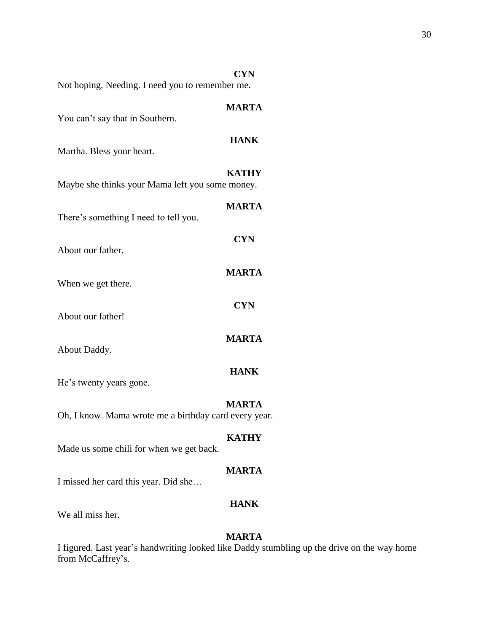| <b>CYN</b><br>Not hoping. Needing. I need you to remember me.         |
|-----------------------------------------------------------------------|
| <b>MARTA</b>                                                          |
| <b>HANK</b>                                                           |
| <b>KATHY</b><br>Maybe she thinks your Mama left you some money.       |
| <b>MARTA</b>                                                          |
| <b>CYN</b>                                                            |
| <b>MARTA</b>                                                          |
| <b>CYN</b>                                                            |
| <b>MARTA</b>                                                          |
| <b>HANK</b>                                                           |
| <b>MARTA</b><br>Oh, I know. Mama wrote me a birthday card every year. |
| <b>KATHY</b>                                                          |
| <b>MARTA</b>                                                          |
|                                                                       |

## **HANK**

We all miss her.

## **MARTA**

I figured. Last year's handwriting looked like Daddy stumbling up the drive on the way home from McCaffrey's.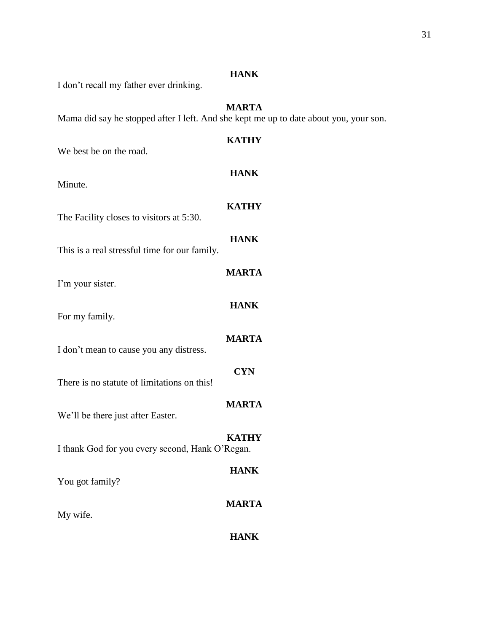| I don't recall my father ever drinking.         | <b>THIAN</b>                                                                                          |
|-------------------------------------------------|-------------------------------------------------------------------------------------------------------|
|                                                 | <b>MARTA</b><br>Mama did say he stopped after I left. And she kept me up to date about you, your son. |
| We best be on the road.                         | <b>KATHY</b>                                                                                          |
| Minute.                                         | <b>HANK</b>                                                                                           |
| The Facility closes to visitors at 5:30.        | <b>KATHY</b>                                                                                          |
| This is a real stressful time for our family.   | <b>HANK</b>                                                                                           |
| I'm your sister.                                | <b>MARTA</b>                                                                                          |
| For my family.                                  | <b>HANK</b>                                                                                           |
| I don't mean to cause you any distress.         | <b>MARTA</b>                                                                                          |
| There is no statute of limitations on this!     | <b>CYN</b>                                                                                            |
| We'll be there just after Easter.               | <b>MARTA</b>                                                                                          |
| I thank God for you every second, Hank O'Regan. | <b>KATHY</b>                                                                                          |
| You got family?                                 | <b>HANK</b>                                                                                           |
| My wife.                                        | <b>MARTA</b>                                                                                          |
|                                                 | <b>HANK</b>                                                                                           |

## **HANK**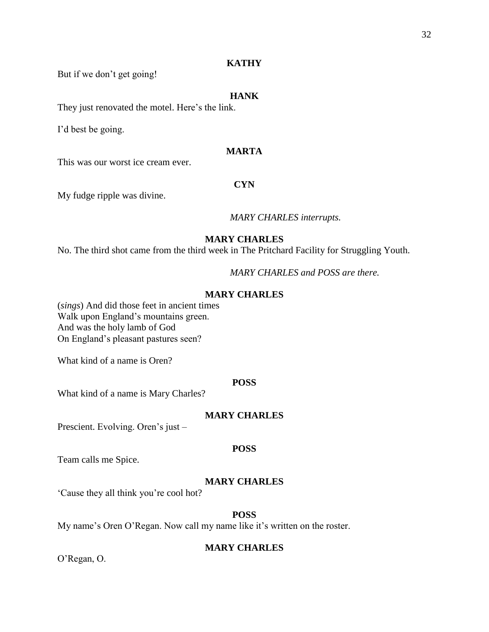#### **KATHY**

But if we don't get going!

## **HANK**

They just renovated the motel. Here's the link.

I'd best be going.

## **MARTA**

This was our worst ice cream ever.

## **CYN**

My fudge ripple was divine.

## *MARY CHARLES interrupts.*

## **MARY CHARLES**

No. The third shot came from the third week in The Pritchard Facility for Struggling Youth.

*MARY CHARLES and POSS are there.* 

## **MARY CHARLES**

(*sings*) And did those feet in ancient times Walk upon England's mountains green. And was the holy lamb of God On England's pleasant pastures seen?

What kind of a name is Oren?

## **POSS**

What kind of a name is Mary Charles?

#### **MARY CHARLES**

Prescient. Evolving. Oren's just –

#### **POSS**

Team calls me Spice.

#### **MARY CHARLES**

'Cause they all think you're cool hot?

## **POSS**

My name's Oren O'Regan. Now call my name like it's written on the roster.

#### **MARY CHARLES**

O'Regan, O.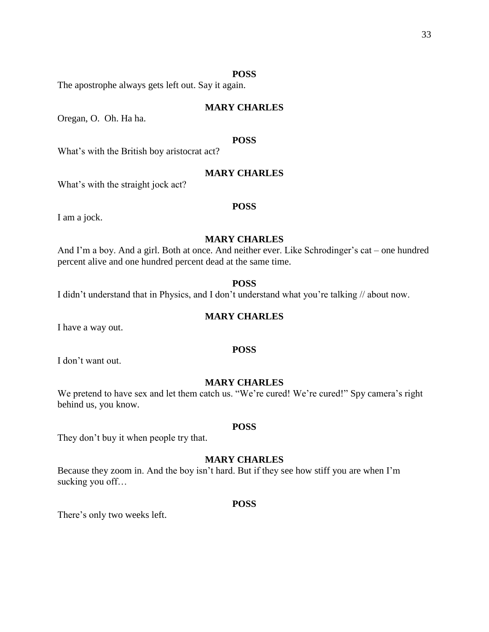#### **POSS**

The apostrophe always gets left out. Say it again.

## **MARY CHARLES**

Oregan, O. Oh. Ha ha.

## **POSS**

What's with the British boy aristocrat act?

## **MARY CHARLES**

What's with the straight jock act?

## **POSS**

I am a jock.

## **MARY CHARLES**

And I'm a boy. And a girl. Both at once. And neither ever. Like Schrodinger's cat – one hundred percent alive and one hundred percent dead at the same time.

#### **POSS**

I didn't understand that in Physics, and I don't understand what you're talking // about now.

## **MARY CHARLES**

I have a way out.

#### **POSS**

I don't want out.

## **MARY CHARLES**

We pretend to have sex and let them catch us. "We're cured! We're cured!" Spy camera's right behind us, you know.

#### **POSS**

They don't buy it when people try that.

## **MARY CHARLES**

Because they zoom in. And the boy isn't hard. But if they see how stiff you are when I'm sucking you off…

#### **POSS**

There's only two weeks left.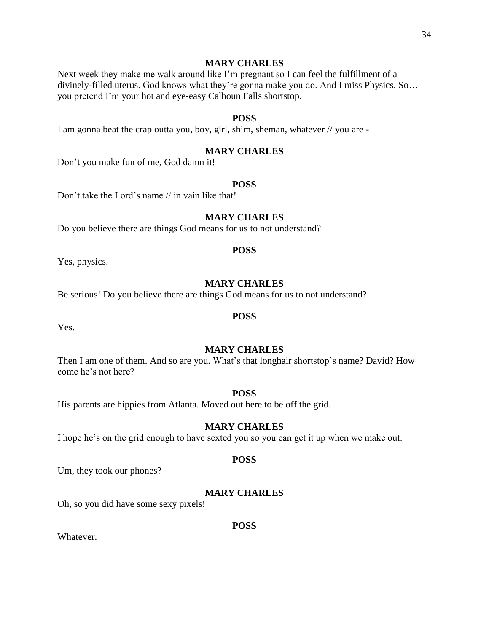## **MARY CHARLES**

Next week they make me walk around like I'm pregnant so I can feel the fulfillment of a divinely-filled uterus. God knows what they're gonna make you do. And I miss Physics. So… you pretend I'm your hot and eye-easy Calhoun Falls shortstop.

## **POSS**

I am gonna beat the crap outta you, boy, girl, shim, sheman, whatever // you are -

## **MARY CHARLES**

Don't you make fun of me, God damn it!

## **POSS**

Don't take the Lord's name // in vain like that!

#### **MARY CHARLES**

Do you believe there are things God means for us to not understand?

#### **POSS**

Yes, physics.

#### **MARY CHARLES**

Be serious! Do you believe there are things God means for us to not understand?

#### **POSS**

Yes.

#### **MARY CHARLES**

Then I am one of them. And so are you. What's that longhair shortstop's name? David? How come he's not here?

#### **POSS**

His parents are hippies from Atlanta. Moved out here to be off the grid.

## **MARY CHARLES**

I hope he's on the grid enough to have sexted you so you can get it up when we make out.

#### **POSS**

Um, they took our phones?

## **MARY CHARLES**

Oh, so you did have some sexy pixels!

#### **POSS**

Whatever.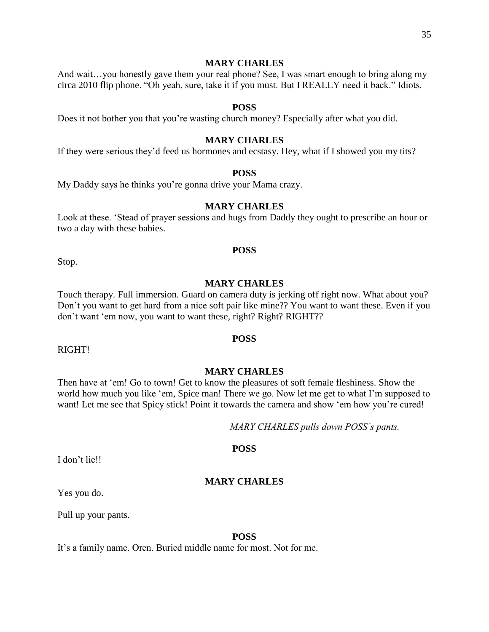#### **MARY CHARLES**

And wait…you honestly gave them your real phone? See, I was smart enough to bring along my circa 2010 flip phone. "Oh yeah, sure, take it if you must. But I REALLY need it back." Idiots.

#### **POSS**

Does it not bother you that you're wasting church money? Especially after what you did.

## **MARY CHARLES**

If they were serious they'd feed us hormones and ecstasy. Hey, what if I showed you my tits?

#### **POSS**

My Daddy says he thinks you're gonna drive your Mama crazy.

## **MARY CHARLES**

Look at these. 'Stead of prayer sessions and hugs from Daddy they ought to prescribe an hour or two a day with these babies.

#### **POSS**

Stop.

#### **MARY CHARLES**

Touch therapy. Full immersion. Guard on camera duty is jerking off right now. What about you? Don't you want to get hard from a nice soft pair like mine?? You want to want these. Even if you don't want 'em now, you want to want these, right? Right? RIGHT??

**POSS**

RIGHT!

#### **MARY CHARLES**

Then have at 'em! Go to town! Get to know the pleasures of soft female fleshiness. Show the world how much you like 'em, Spice man! There we go. Now let me get to what I'm supposed to want! Let me see that Spicy stick! Point it towards the camera and show 'em how you're cured!

*MARY CHARLES pulls down POSS's pants.*

#### **POSS**

I don't lie!!

#### **MARY CHARLES**

Yes you do.

Pull up your pants.

#### **POSS**

It's a family name. Oren. Buried middle name for most. Not for me.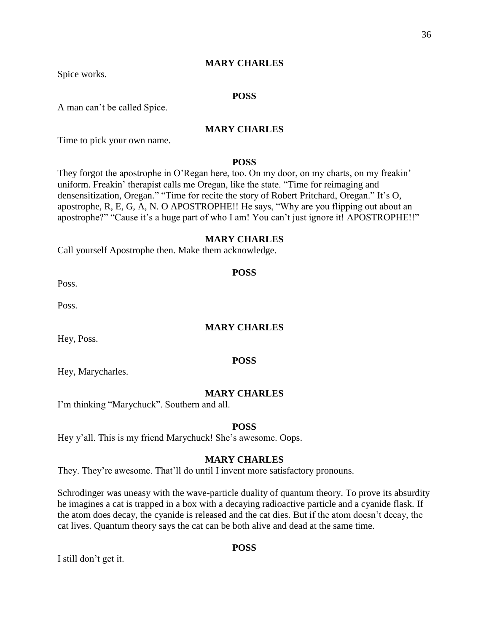Spice works.

## **POSS**

A man can't be called Spice.

## **MARY CHARLES**

Time to pick your own name.

#### **POSS**

They forgot the apostrophe in O'Regan here, too. On my door, on my charts, on my freakin' uniform. Freakin' therapist calls me Oregan, like the state. "Time for reimaging and densensitization, Oregan." "Time for recite the story of Robert Pritchard, Oregan." It's O, apostrophe, R, E, G, A, N. O APOSTROPHE!! He says, "Why are you flipping out about an apostrophe?" "Cause it's a huge part of who I am! You can't just ignore it! APOSTROPHE!!"

## **MARY CHARLES**

Call yourself Apostrophe then. Make them acknowledge.

Poss.

Poss.

#### **MARY CHARLES**

Hey, Poss.

#### **POSS**

Hey, Marycharles.

#### **MARY CHARLES**

I'm thinking "Marychuck". Southern and all.

## **POSS**

Hey y'all. This is my friend Marychuck! She's awesome. Oops.

#### **MARY CHARLES**

They. They're awesome. That'll do until I invent more satisfactory pronouns.

Schrodinger was uneasy with the wave-particle duality of quantum theory. To prove its absurdity he imagines a cat is trapped in a box with a decaying radioactive particle and a cyanide flask. If the atom does decay, the cyanide is released and the cat dies. But if the atom doesn't decay, the cat lives. Quantum theory says the cat can be both alive and dead at the same time.

## **POSS**

I still don't get it.

**POSS**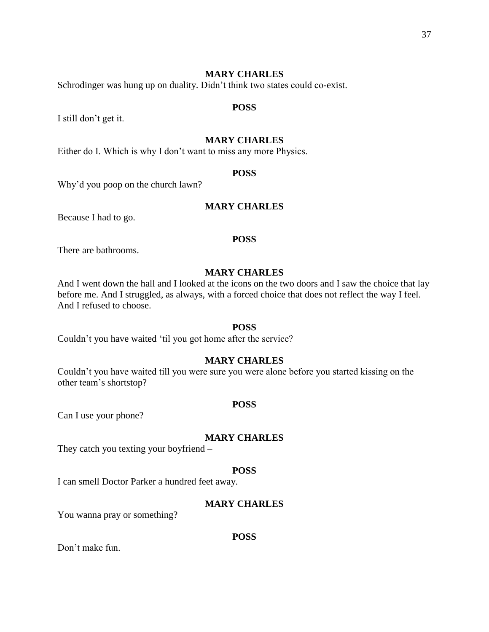Schrodinger was hung up on duality. Didn't think two states could co-exist.

#### **POSS**

I still don't get it.

## **MARY CHARLES**

Either do I. Which is why I don't want to miss any more Physics.

#### **POSS**

Why'd you poop on the church lawn?

## **MARY CHARLES**

Because I had to go.

#### **POSS**

There are bathrooms.

## **MARY CHARLES**

And I went down the hall and I looked at the icons on the two doors and I saw the choice that lay before me. And I struggled, as always, with a forced choice that does not reflect the way I feel. And I refused to choose.

#### **POSS**

Couldn't you have waited 'til you got home after the service?

## **MARY CHARLES**

Couldn't you have waited till you were sure you were alone before you started kissing on the other team's shortstop?

#### **POSS**

Can I use your phone?

#### **MARY CHARLES**

They catch you texting your boyfriend –

## **POSS**

I can smell Doctor Parker a hundred feet away.

## **MARY CHARLES**

You wanna pray or something?

#### **POSS**

Don't make fun.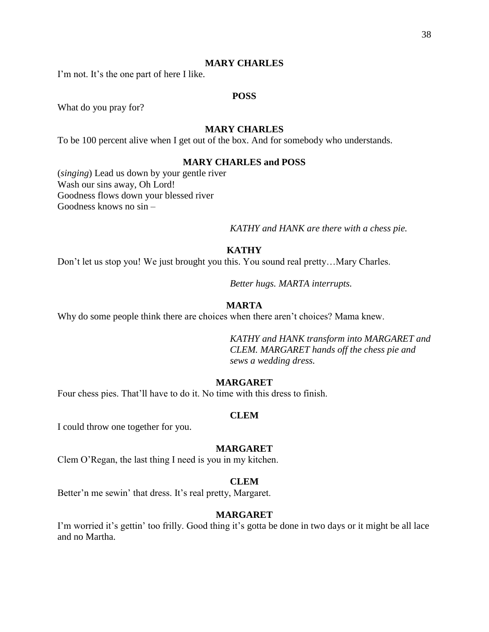I'm not. It's the one part of here I like.

## **POSS**

What do you pray for?

## **MARY CHARLES**

To be 100 percent alive when I get out of the box. And for somebody who understands.

#### **MARY CHARLES and POSS**

(*singing*) Lead us down by your gentle river Wash our sins away, Oh Lord! Goodness flows down your blessed river Goodness knows no sin –

*KATHY and HANK are there with a chess pie.*

## **KATHY**

Don't let us stop you! We just brought you this. You sound real pretty…Mary Charles.

*Better hugs. MARTA interrupts.*

#### **MARTA**

Why do some people think there are choices when there aren't choices? Mama knew.

*KATHY and HANK transform into MARGARET and CLEM. MARGARET hands off the chess pie and sews a wedding dress.* 

## **MARGARET**

Four chess pies. That'll have to do it. No time with this dress to finish.

#### **CLEM**

I could throw one together for you.

## **MARGARET**

Clem O'Regan, the last thing I need is you in my kitchen.

#### **CLEM**

Better'n me sewin' that dress. It's real pretty, Margaret.

#### **MARGARET**

I'm worried it's gettin' too frilly. Good thing it's gotta be done in two days or it might be all lace and no Martha.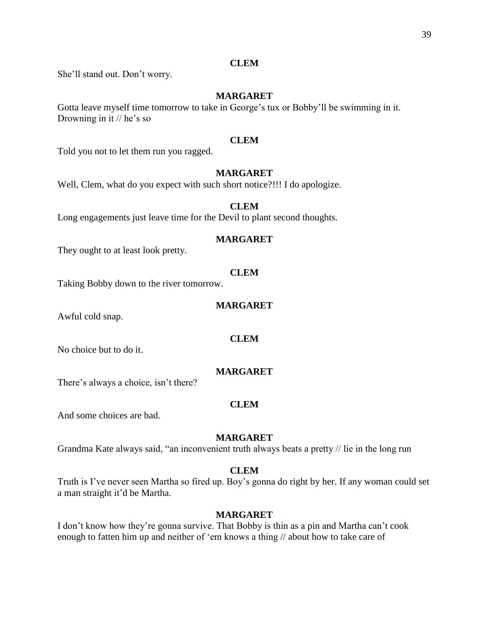## **CLEM**

She'll stand out. Don't worry.

## **MARGARET**

Gotta leave myself time tomorrow to take in George's tux or Bobby'll be swimming in it. Drowning in it // he's so

## **CLEM**

Told you not to let them run you ragged.

## **MARGARET**

Well, Clem, what do you expect with such short notice?!!! I do apologize.

## **CLEM**

Long engagements just leave time for the Devil to plant second thoughts.

## **MARGARET**

They ought to at least look pretty.

## **CLEM**

Taking Bobby down to the river tomorrow.

## **MARGARET**

Awful cold snap.

## **CLEM**

No choice but to do it.

## **MARGARET**

There's always a choice, isn't there?

## **CLEM**

And some choices are bad.

## **MARGARET**

Grandma Kate always said, "an inconvenient truth always beats a pretty // lie in the long run

## **CLEM**

Truth is I've never seen Martha so fired up. Boy's gonna do right by her. If any woman could set a man straight it'd be Martha.

## **MARGARET**

I don't know how they're gonna survive. That Bobby is thin as a pin and Martha can't cook enough to fatten him up and neither of 'em knows a thing // about how to take care of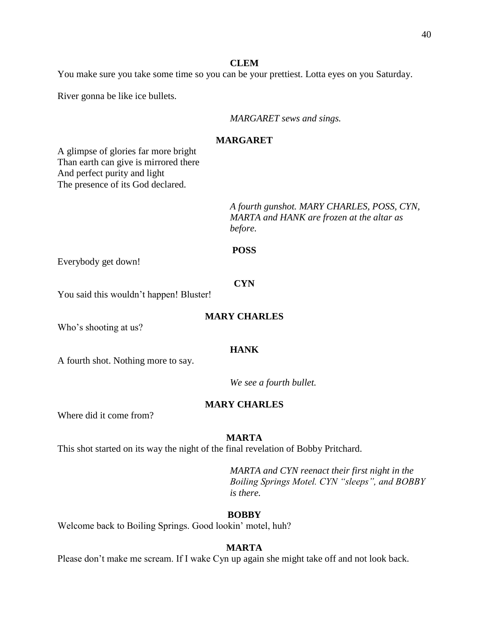#### **CLEM**

You make sure you take some time so you can be your prettiest. Lotta eyes on you Saturday.

River gonna be like ice bullets.

*MARGARET sews and sings.*

## **MARGARET**

A glimpse of glories far more bright Than earth can give is mirrored there And perfect purity and light The presence of its God declared.

> *A fourth gunshot. MARY CHARLES, POSS, CYN, MARTA and HANK are frozen at the altar as before.*

#### **POSS**

Everybody get down!

#### **CYN**

You said this wouldn't happen! Bluster!

## **MARY CHARLES**

Who's shooting at us?

#### **HANK**

A fourth shot. Nothing more to say.

*We see a fourth bullet.*

## **MARY CHARLES**

Where did it come from?

#### **MARTA**

This shot started on its way the night of the final revelation of Bobby Pritchard.

*MARTA and CYN reenact their first night in the Boiling Springs Motel. CYN "sleeps", and BOBBY is there.* 

#### **BOBBY**

Welcome back to Boiling Springs. Good lookin' motel, huh?

#### **MARTA**

Please don't make me scream. If I wake Cyn up again she might take off and not look back.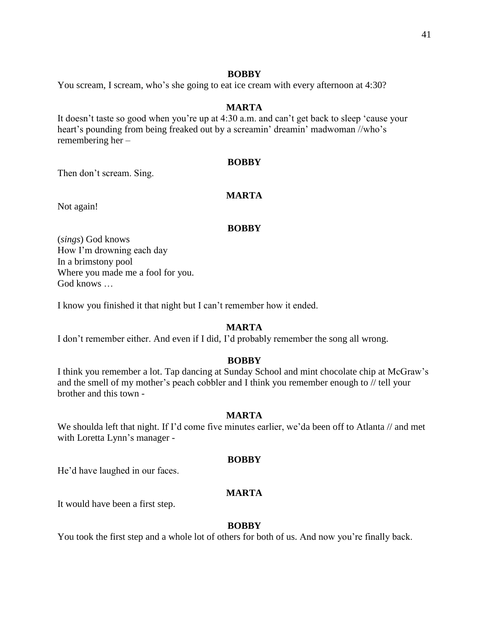## **BOBBY**

You scream, I scream, who's she going to eat ice cream with every afternoon at 4:30?

## **MARTA**

It doesn't taste so good when you're up at 4:30 a.m. and can't get back to sleep 'cause your heart's pounding from being freaked out by a screamin' dreamin' madwoman //who's remembering her –

## **BOBBY**

Then don't scream. Sing.

## **MARTA**

Not again!

## **BOBBY**

(*sings*) God knows How I'm drowning each day In a brimstony pool Where you made me a fool for you. God knows …

I know you finished it that night but I can't remember how it ended.

## **MARTA**

I don't remember either. And even if I did, I'd probably remember the song all wrong.

## **BOBBY**

I think you remember a lot. Tap dancing at Sunday School and mint chocolate chip at McGraw's and the smell of my mother's peach cobbler and I think you remember enough to // tell your brother and this town -

## **MARTA**

We shoulda left that night. If I'd come five minutes earlier, we'da been off to Atlanta // and met with Loretta Lynn's manager -

## **BOBBY**

He'd have laughed in our faces.

## **MARTA**

It would have been a first step.

## **BOBBY**

You took the first step and a whole lot of others for both of us. And now you're finally back.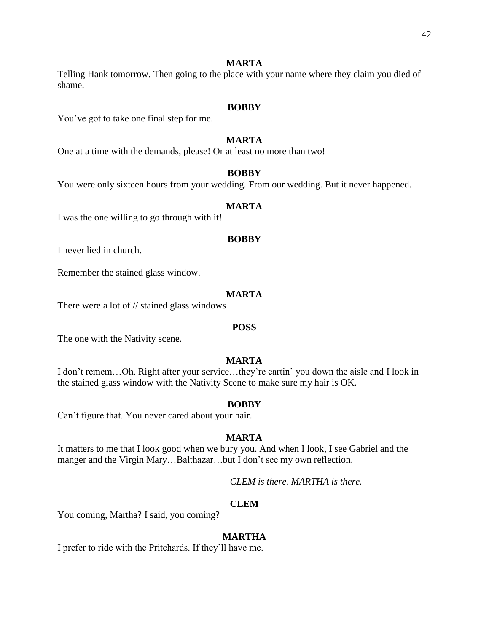## **MARTA**

Telling Hank tomorrow. Then going to the place with your name where they claim you died of shame.

## **BOBBY**

You've got to take one final step for me.

## **MARTA**

One at a time with the demands, please! Or at least no more than two!

## **BOBBY**

You were only sixteen hours from your wedding. From our wedding. But it never happened.

## **MARTA**

I was the one willing to go through with it!

#### **BOBBY**

I never lied in church.

Remember the stained glass window.

## **MARTA**

There were a lot of  $\frac{1}{1}$  stained glass windows –

#### **POSS**

The one with the Nativity scene.

## **MARTA**

I don't remem…Oh. Right after your service…they're cartin' you down the aisle and I look in the stained glass window with the Nativity Scene to make sure my hair is OK.

## **BOBBY**

Can't figure that. You never cared about your hair.

## **MARTA**

It matters to me that I look good when we bury you. And when I look, I see Gabriel and the manger and the Virgin Mary…Balthazar…but I don't see my own reflection.

*CLEM is there. MARTHA is there.*

## **CLEM**

You coming, Martha? I said, you coming?

## **MARTHA**

I prefer to ride with the Pritchards. If they'll have me.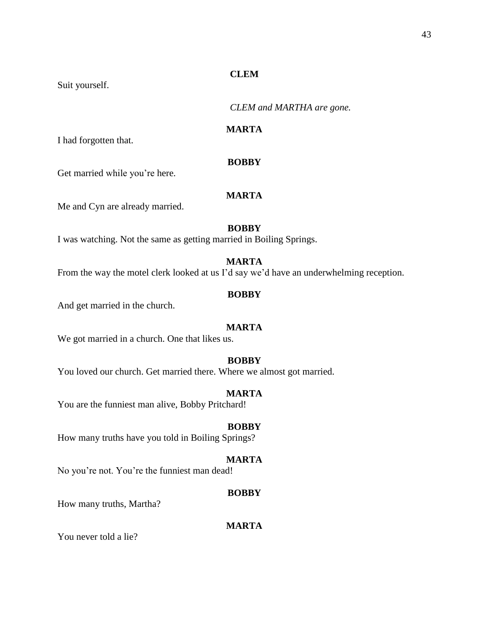## **CLEM**

Suit yourself.

*CLEM and MARTHA are gone.*

## **MARTA**

I had forgotten that.

## **BOBBY**

Get married while you're here.

## **MARTA**

Me and Cyn are already married.

## **BOBBY**

I was watching. Not the same as getting married in Boiling Springs.

## **MARTA**

From the way the motel clerk looked at us I'd say we'd have an underwhelming reception.

## **BOBBY**

And get married in the church.

## **MARTA**

We got married in a church. One that likes us.

## **BOBBY**

You loved our church. Get married there. Where we almost got married.

#### **MARTA**

You are the funniest man alive, Bobby Pritchard!

## **BOBBY**

How many truths have you told in Boiling Springs?

## **MARTA**

No you're not. You're the funniest man dead!

## **BOBBY**

How many truths, Martha?

## **MARTA**

You never told a lie?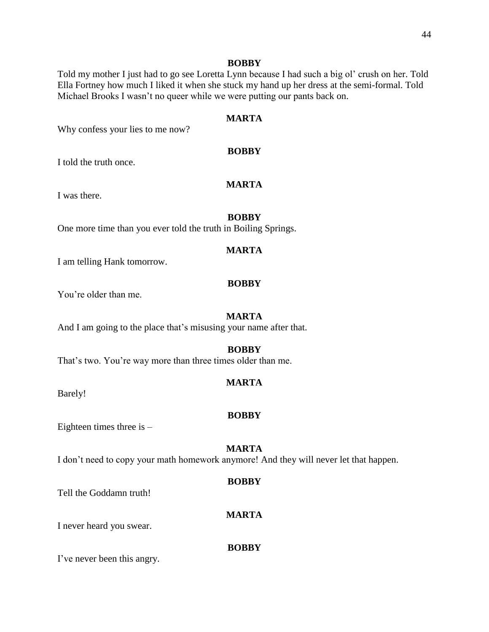#### **BOBBY**

Told my mother I just had to go see Loretta Lynn because I had such a big ol' crush on her. Told Ella Fortney how much I liked it when she stuck my hand up her dress at the semi-formal. Told Michael Brooks I wasn't no queer while we were putting our pants back on.

## **MARTA**

Why confess your lies to me now?

## **BOBBY**

I told the truth once.

## **MARTA**

I was there.

#### **BOBBY**

One more time than you ever told the truth in Boiling Springs.

## **MARTA**

I am telling Hank tomorrow.

#### **BOBBY**

You're older than me.

#### **MARTA**

And I am going to the place that's misusing your name after that.

#### **BOBBY**

That's two. You're way more than three times older than me.

## **MARTA**

Barely!

#### **BOBBY**

Eighteen times three is  $-$ 

## **MARTA**

I don't need to copy your math homework anymore! And they will never let that happen.

#### **BOBBY**

**MARTA**

Tell the Goddamn truth!

I never heard you swear.

#### **BOBBY**

I've never been this angry.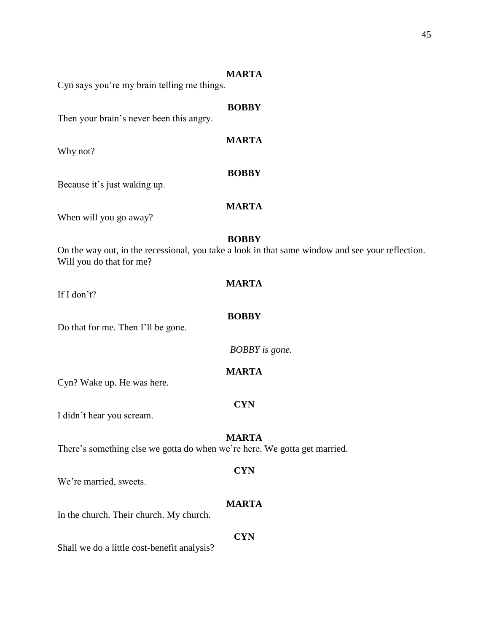#### **MARTA**

Cyn says you're my brain telling me things.

# **BOBBY** Then your brain's never been this angry. **MARTA** Why not? **BOBBY** Because it's just waking up. **MARTA** When will you go away? **BOBBY** On the way out, in the recessional, you take a look in that same window and see your reflection. Will you do that for me? **MARTA** If I don't? **BOBBY** Do that for me. Then I'll be gone. *BOBBY is gone.* **MARTA** Cyn? Wake up. He was here. **CYN** I didn't hear you scream. **MARTA** There's something else we gotta do when we're here. We gotta get married. **CYN** We're married, sweets. **MARTA** In the church. Their church. My church. **CYN** Shall we do a little cost-benefit analysis?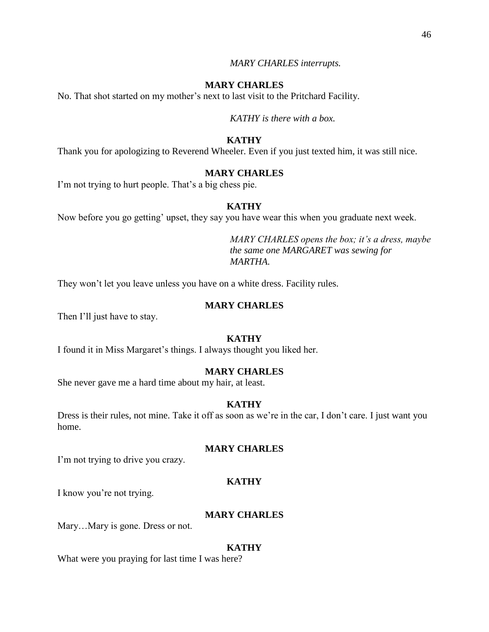#### *MARY CHARLES interrupts.*

## **MARY CHARLES**

No. That shot started on my mother's next to last visit to the Pritchard Facility.

*KATHY is there with a box.*

## **KATHY**

Thank you for apologizing to Reverend Wheeler. Even if you just texted him, it was still nice.

#### **MARY CHARLES**

I'm not trying to hurt people. That's a big chess pie.

## **KATHY**

Now before you go getting' upset, they say you have wear this when you graduate next week.

*MARY CHARLES opens the box; it's a dress, maybe the same one MARGARET was sewing for MARTHA.*

They won't let you leave unless you have on a white dress. Facility rules.

#### **MARY CHARLES**

Then I'll just have to stay.

#### **KATHY**

I found it in Miss Margaret's things. I always thought you liked her.

#### **MARY CHARLES**

She never gave me a hard time about my hair, at least.

#### **KATHY**

Dress is their rules, not mine. Take it off as soon as we're in the car, I don't care. I just want you home.

## **MARY CHARLES**

I'm not trying to drive you crazy.

#### **KATHY**

I know you're not trying.

#### **MARY CHARLES**

Mary…Mary is gone. Dress or not.

#### **KATHY**

What were you praying for last time I was here?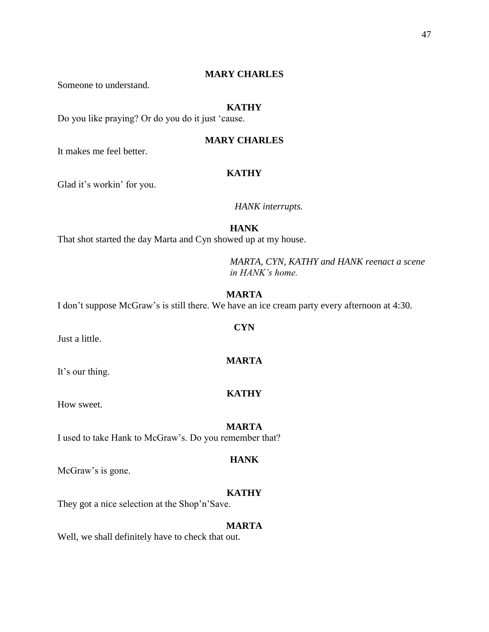Someone to understand.

## **KATHY**

Do you like praying? Or do you do it just 'cause.

## **MARY CHARLES**

It makes me feel better.

## **KATHY**

Glad it's workin' for you.

## *HANK interrupts.*

**HANK**

That shot started the day Marta and Cyn showed up at my house.

*MARTA, CYN, KATHY and HANK reenact a scene in HANK's home.*

## **MARTA**

I don't suppose McGraw's is still there. We have an ice cream party every afternoon at 4:30.

Just a little.

It's our thing.

How sweet.

I used to take Hank to McGraw's. Do you remember that?

## **HANK**

McGraw's is gone.

## **KATHY**

They got a nice selection at the Shop'n'Save.

#### **MARTA**

Well, we shall definitely have to check that out.

## **CYN**

**MARTA**

**KATHY**

**MARTA**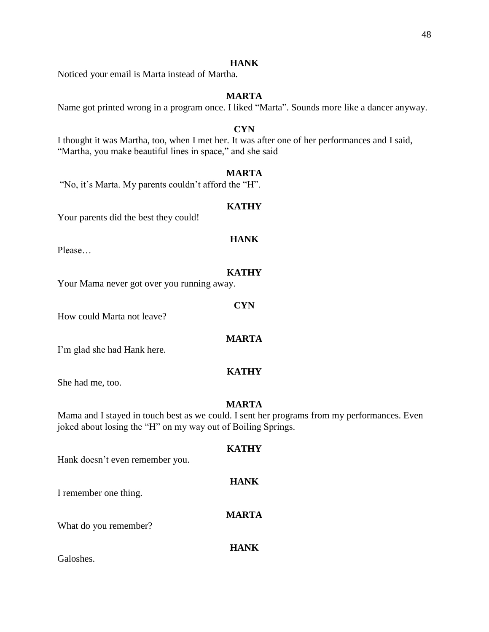## **HANK**

Noticed your email is Marta instead of Martha.

## **MARTA**

Name got printed wrong in a program once. I liked "Marta". Sounds more like a dancer anyway.

## **CYN**

I thought it was Martha, too, when I met her. It was after one of her performances and I said, "Martha, you make beautiful lines in space," and she said

## **MARTA**

"No, it's Marta. My parents couldn't afford the "H".

## **KATHY**

Your parents did the best they could!

## **HANK**

Please…

## **KATHY**

**CYN**

Your Mama never got over you running away.

How could Marta not leave?

## **MARTA**

I'm glad she had Hank here.

## **KATHY**

She had me, too.

## **MARTA**

Mama and I stayed in touch best as we could. I sent her programs from my performances. Even joked about losing the "H" on my way out of Boiling Springs.

# **KATHY** Hank doesn't even remember you. **HANK** I remember one thing. **MARTA** What do you remember? **HANK** Galoshes.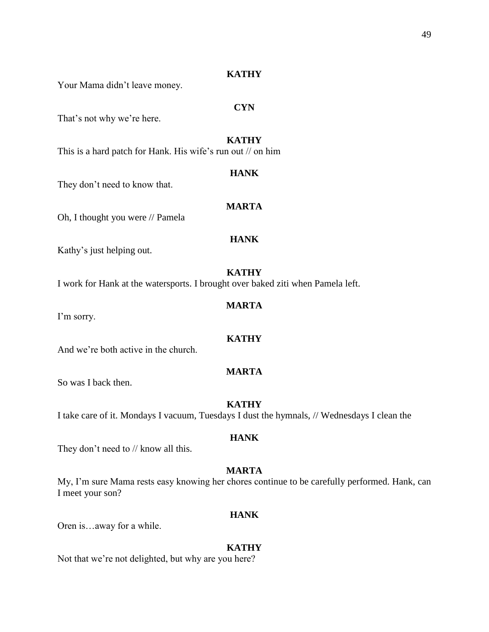## **KATHY**

Your Mama didn't leave money.

That's not why we're here.

## **KATHY**

**HANK**

**CYN**

This is a hard patch for Hank. His wife's run out // on him

They don't need to know that.

## **MARTA**

Oh, I thought you were // Pamela

## **HANK**

Kathy's just helping out.

#### **KATHY**

I work for Hank at the watersports. I brought over baked ziti when Pamela left.

## **MARTA**

I'm sorry.

## **KATHY**

## **MARTA**

So was I back then.

## **KATHY**

I take care of it. Mondays I vacuum, Tuesdays I dust the hymnals, // Wednesdays I clean the

#### **HANK**

They don't need to // know all this.

And we're both active in the church.

## **MARTA**

My, I'm sure Mama rests easy knowing her chores continue to be carefully performed. Hank, can I meet your son?

## **HANK**

Oren is…away for a while.

#### **KATHY**

Not that we're not delighted, but why are you here?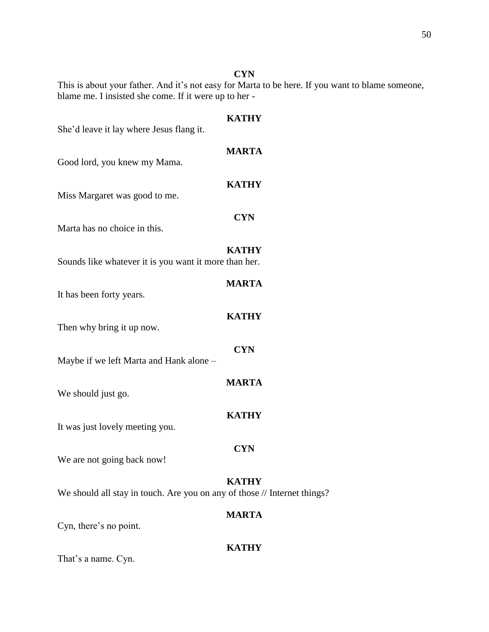## **CYN**

This is about your father. And it's not easy for Marta to be here. If you want to blame someone, blame me. I insisted she come. If it were up to her -

| She'd leave it lay where Jesus flang it.                                 | <b>KATHY</b> |
|--------------------------------------------------------------------------|--------------|
| Good lord, you knew my Mama.                                             | <b>MARTA</b> |
| Miss Margaret was good to me.                                            | <b>KATHY</b> |
| Marta has no choice in this.                                             | <b>CYN</b>   |
| Sounds like whatever it is you want it more than her.                    | <b>KATHY</b> |
| It has been forty years.                                                 | <b>MARTA</b> |
| Then why bring it up now.                                                | <b>KATHY</b> |
| Maybe if we left Marta and Hank alone -                                  | <b>CYN</b>   |
| We should just go.                                                       | <b>MARTA</b> |
| It was just lovely meeting you.                                          | <b>KATHY</b> |
| We are not going back now!                                               | <b>CYN</b>   |
| We should all stay in touch. Are you on any of those // Internet things? | <b>KATHY</b> |
| Cyn, there's no point.                                                   | <b>MARTA</b> |
|                                                                          | <b>KATHY</b> |

That's a name. Cyn.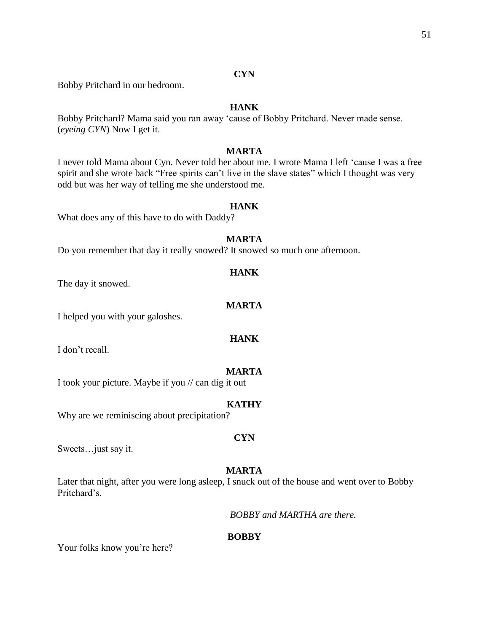## **CYN**

Bobby Pritchard in our bedroom.

## **HANK**

Bobby Pritchard? Mama said you ran away 'cause of Bobby Pritchard. Never made sense. (*eyeing CYN*) Now I get it.

## **MARTA**

I never told Mama about Cyn. Never told her about me. I wrote Mama I left 'cause I was a free spirit and she wrote back "Free spirits can't live in the slave states" which I thought was very odd but was her way of telling me she understood me.

## **HANK**

What does any of this have to do with Daddy?

## **MARTA**

Do you remember that day it really snowed? It snowed so much one afternoon.

#### **HANK**

The day it snowed.

## **MARTA**

I helped you with your galoshes.

## **HANK**

I don't recall.

#### **MARTA**

I took your picture. Maybe if you // can dig it out

#### **KATHY**

Why are we reminiscing about precipitation?

#### **CYN**

Sweets…just say it.

#### **MARTA**

Later that night, after you were long asleep, I snuck out of the house and went over to Bobby Pritchard's.

*BOBBY and MARTHA are there.*

#### **BOBBY**

Your folks know you're here?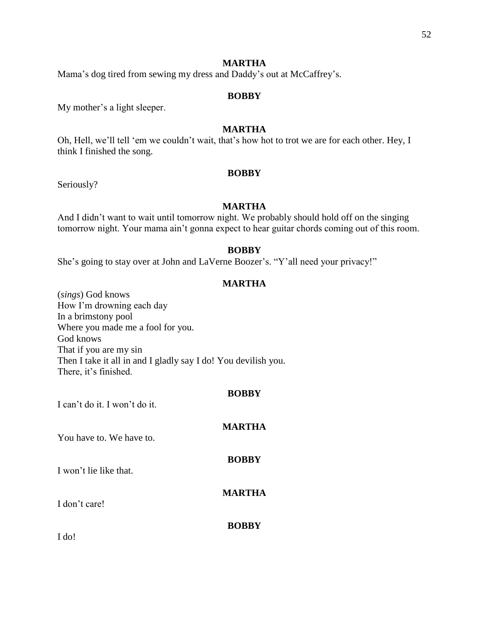## **MARTHA**

Mama's dog tired from sewing my dress and Daddy's out at McCaffrey's.

## **BOBBY**

My mother's a light sleeper.

## **MARTHA**

Oh, Hell, we'll tell 'em we couldn't wait, that's how hot to trot we are for each other. Hey, I think I finished the song.

## **BOBBY**

Seriously?

## **MARTHA**

And I didn't want to wait until tomorrow night. We probably should hold off on the singing tomorrow night. Your mama ain't gonna expect to hear guitar chords coming out of this room.

## **BOBBY**

She's going to stay over at John and LaVerne Boozer's. "Y'all need your privacy!"

## **MARTHA**

(*sings*) God knows How I'm drowning each day In a brimstony pool Where you made me a fool for you. God knows That if you are my sin Then I take it all in and I gladly say I do! You devilish you. There, it's finished.

## **BOBBY**

I can't do it. I won't do it.

| You have to. We have to. | <b>MARTHA</b> |
|--------------------------|---------------|
| I won't lie like that.   | <b>BOBBY</b>  |
| I don't care!            | <b>MARTHA</b> |
| I do!                    | <b>BOBBY</b>  |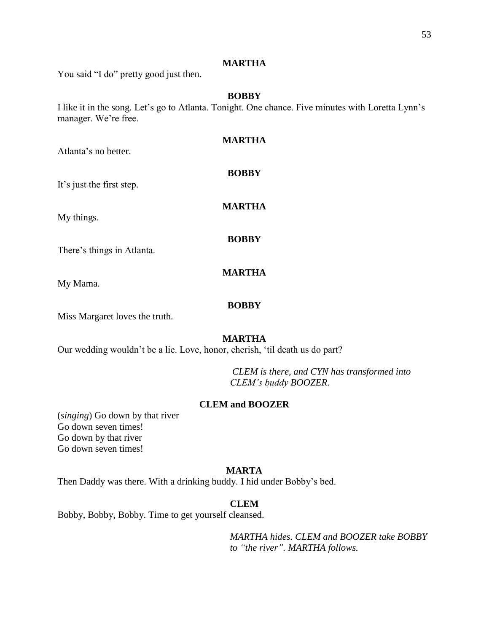## **MARTHA**

You said "I do" pretty good just then.

## **BOBBY**

I like it in the song. Let's go to Atlanta. Tonight. One chance. Five minutes with Loretta Lynn's manager. We're free.

| Atlanta's no better.           | MARTHA       |
|--------------------------------|--------------|
| It's just the first step.      | <b>BOBBY</b> |
| My things.                     | MARTHA       |
| There's things in Atlanta.     | <b>BOBBY</b> |
| My Mama.                       | MARTHA       |
| Miss Margaret loves the truth. | <b>BOBBY</b> |

## **MARTHA**

Our wedding wouldn't be a lie. Love, honor, cherish, 'til death us do part?

*CLEM is there, and CYN has transformed into CLEM's buddy BOOZER.*

## **CLEM and BOOZER**

(*singing*) Go down by that river Go down seven times! Go down by that river Go down seven times!

## **MARTA**

Then Daddy was there. With a drinking buddy. I hid under Bobby's bed.

## **CLEM**

Bobby, Bobby, Bobby. Time to get yourself cleansed.

*MARTHA hides. CLEM and BOOZER take BOBBY to "the river". MARTHA follows.*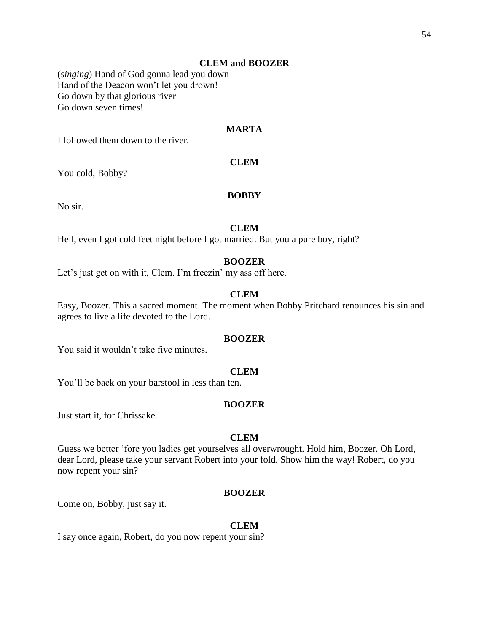## **CLEM and BOOZER**

(*singing*) Hand of God gonna lead you down Hand of the Deacon won't let you drown! Go down by that glorious river Go down seven times!

## **MARTA**

I followed them down to the river.

## **CLEM**

You cold, Bobby?

#### **BOBBY**

No sir.

## **CLEM**

Hell, even I got cold feet night before I got married. But you a pure boy, right?

#### **BOOZER**

Let's just get on with it, Clem. I'm freezin' my ass off here.

## **CLEM**

Easy, Boozer. This a sacred moment. The moment when Bobby Pritchard renounces his sin and agrees to live a life devoted to the Lord.

#### **BOOZER**

You said it wouldn't take five minutes.

#### **CLEM**

You'll be back on your barstool in less than ten.

#### **BOOZER**

Just start it, for Chrissake.

#### **CLEM**

Guess we better 'fore you ladies get yourselves all overwrought. Hold him, Boozer. Oh Lord, dear Lord, please take your servant Robert into your fold. Show him the way! Robert, do you now repent your sin?

#### **BOOZER**

Come on, Bobby, just say it.

#### **CLEM**

I say once again, Robert, do you now repent your sin?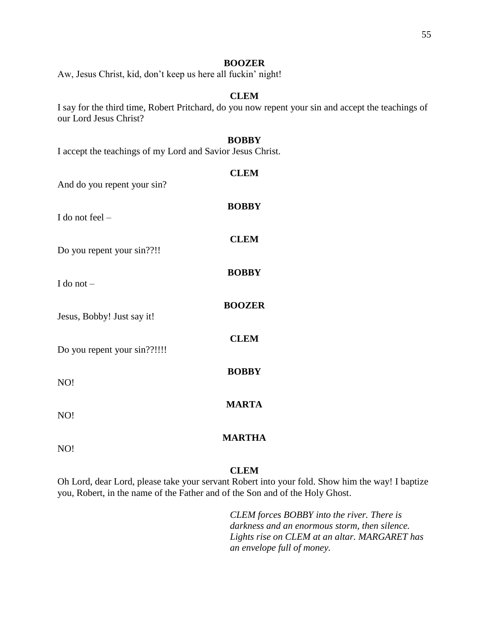## **BOOZER**

Aw, Jesus Christ, kid, don't keep us here all fuckin' night!

## **CLEM**

I say for the third time, Robert Pritchard, do you now repent your sin and accept the teachings of our Lord Jesus Christ?

## **BOBBY**

I accept the teachings of my Lord and Savior Jesus Christ.

| And do you repent your sin?  | <b>CLEM</b>   |
|------------------------------|---------------|
| I do not feel -              | <b>BOBBY</b>  |
| Do you repent your sin??!!   | <b>CLEM</b>   |
| I do not $-$                 | <b>BOBBY</b>  |
| Jesus, Bobby! Just say it!   | <b>BOOZER</b> |
| Do you repent your sin??!!!! | <b>CLEM</b>   |
| NO!                          | <b>BOBBY</b>  |
| NO!                          | <b>MARTA</b>  |
| NO!                          | <b>MARTHA</b> |
|                              |               |

## **CLEM**

Oh Lord, dear Lord, please take your servant Robert into your fold. Show him the way! I baptize you, Robert, in the name of the Father and of the Son and of the Holy Ghost.

> *CLEM forces BOBBY into the river. There is darkness and an enormous storm, then silence. Lights rise on CLEM at an altar. MARGARET has an envelope full of money.*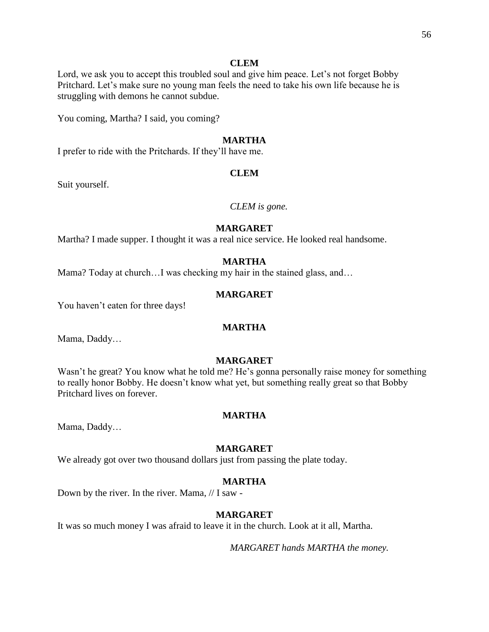#### **CLEM**

Lord, we ask you to accept this troubled soul and give him peace. Let's not forget Bobby Pritchard. Let's make sure no young man feels the need to take his own life because he is struggling with demons he cannot subdue.

You coming, Martha? I said, you coming?

## **MARTHA**

I prefer to ride with the Pritchards. If they'll have me.

## **CLEM**

Suit yourself.

#### *CLEM is gone.*

## **MARGARET**

Martha? I made supper. I thought it was a real nice service. He looked real handsome.

#### **MARTHA**

Mama? Today at church...I was checking my hair in the stained glass, and...

## **MARGARET**

You haven't eaten for three days!

#### **MARTHA**

Mama, Daddy…

## **MARGARET**

Wasn't he great? You know what he told me? He's gonna personally raise money for something to really honor Bobby. He doesn't know what yet, but something really great so that Bobby Pritchard lives on forever.

#### **MARTHA**

Mama, Daddy…

#### **MARGARET**

We already got over two thousand dollars just from passing the plate today.

#### **MARTHA**

Down by the river. In the river. Mama, // I saw -

#### **MARGARET**

It was so much money I was afraid to leave it in the church. Look at it all, Martha.

*MARGARET hands MARTHA the money.*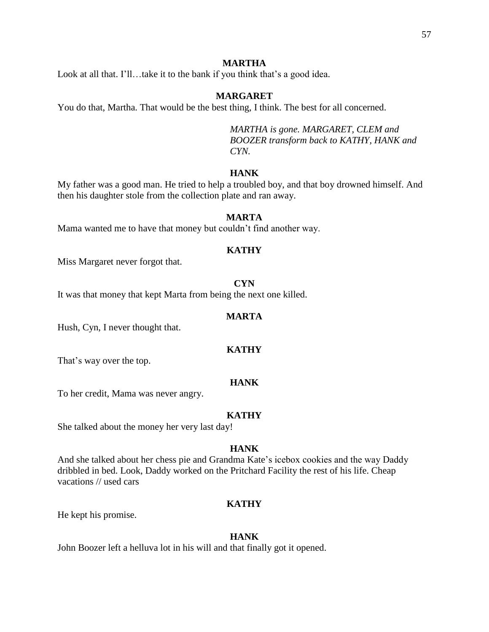## **MARTHA**

Look at all that. I'll…take it to the bank if you think that's a good idea.

## **MARGARET**

You do that, Martha. That would be the best thing, I think. The best for all concerned.

*MARTHA is gone. MARGARET, CLEM and BOOZER transform back to KATHY, HANK and CYN.*

## **HANK**

My father was a good man. He tried to help a troubled boy, and that boy drowned himself. And then his daughter stole from the collection plate and ran away.

#### **MARTA**

Mama wanted me to have that money but couldn't find another way.

## **KATHY**

Miss Margaret never forgot that.

#### **CYN**

It was that money that kept Marta from being the next one killed.

#### **MARTA**

Hush, Cyn, I never thought that.

#### **KATHY**

That's way over the top.

## **HANK**

To her credit, Mama was never angry.

#### **KATHY**

She talked about the money her very last day!

## **HANK**

And she talked about her chess pie and Grandma Kate's icebox cookies and the way Daddy dribbled in bed. Look, Daddy worked on the Pritchard Facility the rest of his life. Cheap vacations // used cars

#### **KATHY**

He kept his promise.

#### **HANK**

John Boozer left a helluva lot in his will and that finally got it opened.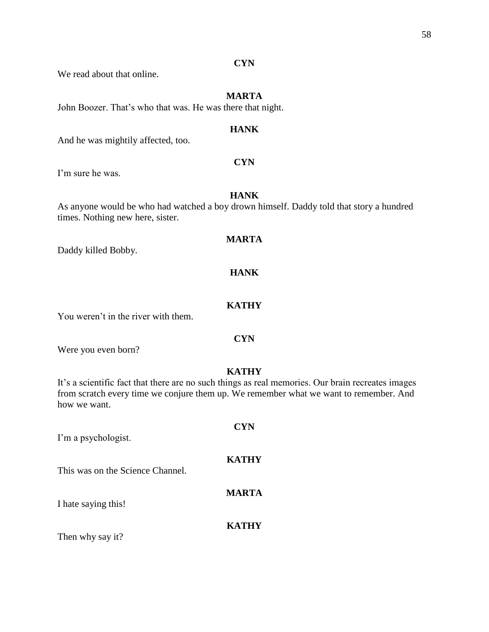## **CYN**

We read about that online.

## **MARTA**

John Boozer. That's who that was. He was there that night.

## **HANK**

And he was mightily affected, too.

## **CYN**

I'm sure he was.

## **HANK**

As anyone would be who had watched a boy drown himself. Daddy told that story a hundred times. Nothing new here, sister.

## **MARTA**

Daddy killed Bobby.

## **HANK**

## **KATHY**

You weren't in the river with them.

#### **CYN**

Were you even born?

## **KATHY**

It's a scientific fact that there are no such things as real memories. Our brain recreates images from scratch every time we conjure them up. We remember what we want to remember. And how we want.

| I'm a psychologist.              | <b>CYN</b>   |
|----------------------------------|--------------|
| This was on the Science Channel. | <b>KATHY</b> |
| I hate saying this!              | <b>MARTA</b> |
| Then why say it?                 | <b>KATHY</b> |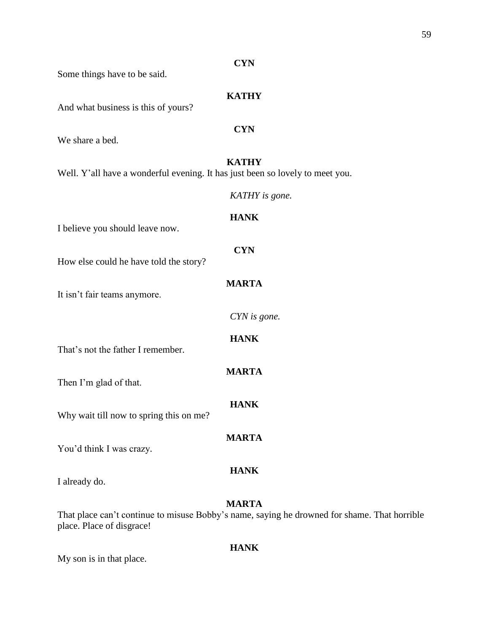|                                                                               | <b>CYN</b>     |
|-------------------------------------------------------------------------------|----------------|
| Some things have to be said.                                                  |                |
| And what business is this of yours?                                           | <b>KATHY</b>   |
| We share a bed.                                                               | <b>CYN</b>     |
| Well. Y'all have a wonderful evening. It has just been so lovely to meet you. | <b>KATHY</b>   |
|                                                                               | KATHY is gone. |
| I believe you should leave now.                                               | <b>HANK</b>    |
| How else could he have told the story?                                        | <b>CYN</b>     |
| It isn't fair teams anymore.                                                  | <b>MARTA</b>   |
|                                                                               | CYN is gone.   |
| That's not the father I remember.                                             | <b>HANK</b>    |
| Then I'm glad of that.                                                        | <b>MARTA</b>   |
| Why wait till now to spring this on me?                                       | <b>HANK</b>    |
| You'd think I was crazy.                                                      | <b>MARTA</b>   |
| I already do.                                                                 | <b>HANK</b>    |
| That place can't continue to misuse Robby's name, saying he drowned for sh    | <b>MARTA</b>   |

That place can't continue to misuse Bobby's name, saying he drowned for shame. That horrible place. Place of disgrace!

## **HANK**

My son is in that place.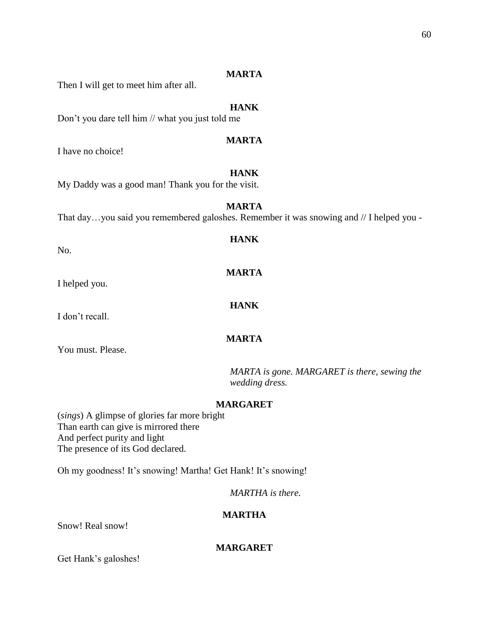## **MARTA**

Then I will get to meet him after all.

## **HANK**

Don't you dare tell him // what you just told me

## **MARTA**

I have no choice!

## **HANK**

My Daddy was a good man! Thank you for the visit.

## **MARTA**

**HANK**

**MARTA**

**HANK**

**MARTA**

That day…you said you remembered galoshes. Remember it was snowing and // I helped you -

No.

I helped you.

I don't recall.

You must. Please.

*MARTA is gone. MARGARET is there, sewing the wedding dress.*

## **MARGARET**

(*sings*) A glimpse of glories far more bright Than earth can give is mirrored there And perfect purity and light The presence of its God declared.

Oh my goodness! It's snowing! Martha! Get Hank! It's snowing!

*MARTHA is there.*

## **MARTHA**

Snow! Real snow!

## **MARGARET**

Get Hank's galoshes!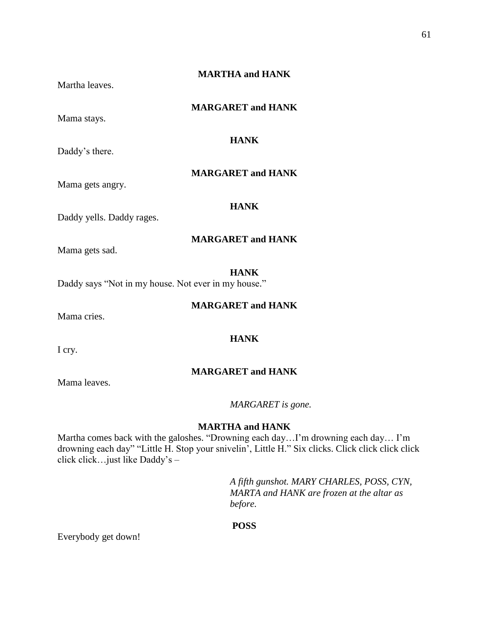## **MARTHA and HANK**

Martha leaves.

## **MARGARET and HANK**

**HANK**

Mama stays.

Daddy's there.

## **MARGARET and HANK**

Mama gets angry.

## **HANK**

Daddy yells. Daddy rages.

## **MARGARET and HANK**

Mama gets sad.

#### **HANK**

Daddy says "Not in my house. Not ever in my house."

#### **MARGARET and HANK**

Mama cries.

Mama leaves.

**HANK**

I cry.

## **MARGARET and HANK**

*MARGARET is gone.*

#### **MARTHA and HANK**

Martha comes back with the galoshes. "Drowning each day…I'm drowning each day… I'm drowning each day" "Little H. Stop your snivelin', Little H." Six clicks. Click click click click click click…just like Daddy's –

> *A fifth gunshot. MARY CHARLES, POSS, CYN, MARTA and HANK are frozen at the altar as before.*

#### **POSS**

Everybody get down!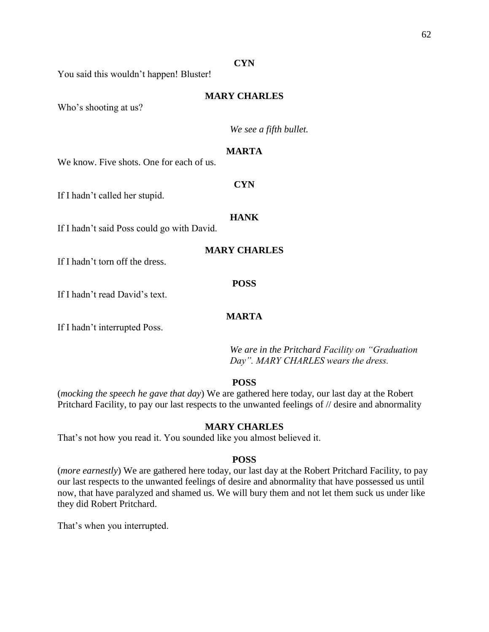#### **CYN**

You said this wouldn't happen! Bluster!

## **MARY CHARLES**

Who's shooting at us?

*We see a fifth bullet.*

## **MARTA**

We know. Five shots. One for each of us.

If I hadn't called her stupid.

#### **HANK**

If I hadn't said Poss could go with David.

**MARY CHARLES**

If I hadn't torn off the dress.

#### **POSS**

If I hadn't read David's text.

## **MARTA**

If I hadn't interrupted Poss.

*We are in the Pritchard Facility on "Graduation Day". MARY CHARLES wears the dress.*

## **POSS**

(*mocking the speech he gave that day*) We are gathered here today, our last day at the Robert Pritchard Facility, to pay our last respects to the unwanted feelings of  $\theta$  desire and abnormality

## **MARY CHARLES**

That's not how you read it. You sounded like you almost believed it.

## **POSS**

(*more earnestly*) We are gathered here today, our last day at the Robert Pritchard Facility, to pay our last respects to the unwanted feelings of desire and abnormality that have possessed us until now, that have paralyzed and shamed us. We will bury them and not let them suck us under like they did Robert Pritchard.

That's when you interrupted.

**CYN**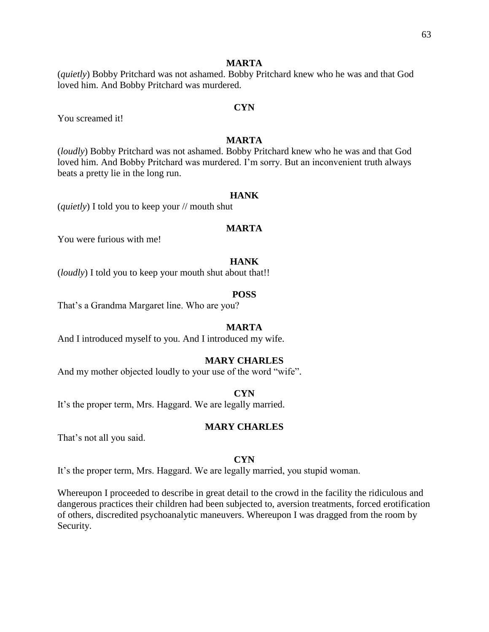## **MARTA**

(*quietly*) Bobby Pritchard was not ashamed. Bobby Pritchard knew who he was and that God loved him. And Bobby Pritchard was murdered.

You screamed it!

## **MARTA**

**CYN**

(*loudly*) Bobby Pritchard was not ashamed. Bobby Pritchard knew who he was and that God loved him. And Bobby Pritchard was murdered. I'm sorry. But an inconvenient truth always beats a pretty lie in the long run.

#### **HANK**

(*quietly*) I told you to keep your // mouth shut

## **MARTA**

You were furious with me!

#### **HANK**

(*loudly*) I told you to keep your mouth shut about that!!

#### **POSS**

That's a Grandma Margaret line. Who are you?

#### **MARTA**

And I introduced myself to you. And I introduced my wife.

## **MARY CHARLES**

And my mother objected loudly to your use of the word "wife".

#### **CYN**

It's the proper term, Mrs. Haggard. We are legally married.

## **MARY CHARLES**

That's not all you said.

#### **CYN**

It's the proper term, Mrs. Haggard. We are legally married, you stupid woman.

Whereupon I proceeded to describe in great detail to the crowd in the facility the ridiculous and dangerous practices their children had been subjected to, aversion treatments, forced erotification of others, discredited psychoanalytic maneuvers. Whereupon I was dragged from the room by Security.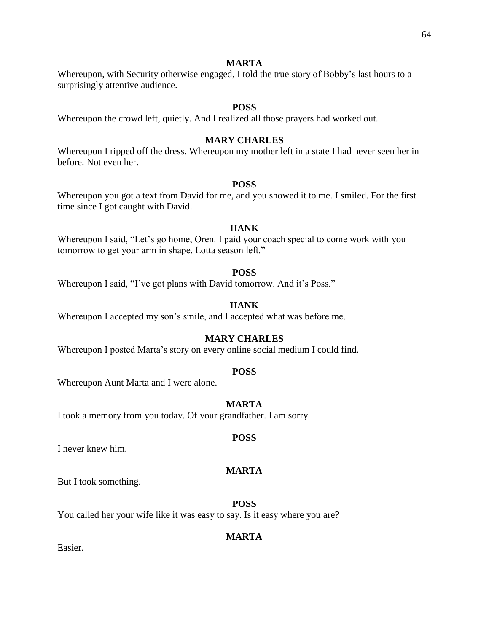#### **MARTA**

Whereupon, with Security otherwise engaged, I told the true story of Bobby's last hours to a surprisingly attentive audience.

#### **POSS**

Whereupon the crowd left, quietly. And I realized all those prayers had worked out.

## **MARY CHARLES**

Whereupon I ripped off the dress. Whereupon my mother left in a state I had never seen her in before. Not even her.

#### **POSS**

Whereupon you got a text from David for me, and you showed it to me. I smiled. For the first time since I got caught with David.

## **HANK**

Whereupon I said, "Let's go home, Oren. I paid your coach special to come work with you tomorrow to get your arm in shape. Lotta season left."

## **POSS**

Whereupon I said, "I've got plans with David tomorrow. And it's Poss."

## **HANK**

Whereupon I accepted my son's smile, and I accepted what was before me.

## **MARY CHARLES**

Whereupon I posted Marta's story on every online social medium I could find.

#### **POSS**

Whereupon Aunt Marta and I were alone.

#### **MARTA**

I took a memory from you today. Of your grandfather. I am sorry.

#### **POSS**

I never knew him.

#### **MARTA**

But I took something.

#### **POSS**

You called her your wife like it was easy to say. Is it easy where you are?

#### **MARTA**

Easier.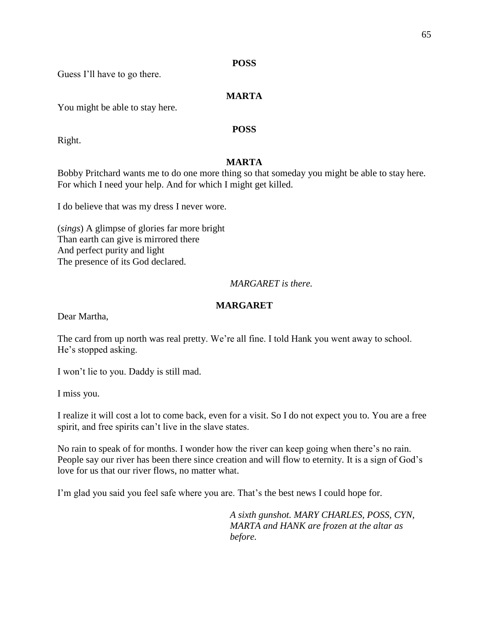## **POSS**

Guess I'll have to go there.

## **MARTA**

You might be able to stay here.

## **POSS**

Right.

## **MARTA**

Bobby Pritchard wants me to do one more thing so that someday you might be able to stay here. For which I need your help. And for which I might get killed.

I do believe that was my dress I never wore.

(*sings*) A glimpse of glories far more bright Than earth can give is mirrored there And perfect purity and light The presence of its God declared.

## *MARGARET is there.*

## **MARGARET**

Dear Martha,

The card from up north was real pretty. We're all fine. I told Hank you went away to school. He's stopped asking.

I won't lie to you. Daddy is still mad.

I miss you.

I realize it will cost a lot to come back, even for a visit. So I do not expect you to. You are a free spirit, and free spirits can't live in the slave states.

No rain to speak of for months. I wonder how the river can keep going when there's no rain. People say our river has been there since creation and will flow to eternity. It is a sign of God's love for us that our river flows, no matter what.

I'm glad you said you feel safe where you are. That's the best news I could hope for.

*A sixth gunshot. MARY CHARLES, POSS, CYN, MARTA and HANK are frozen at the altar as before.*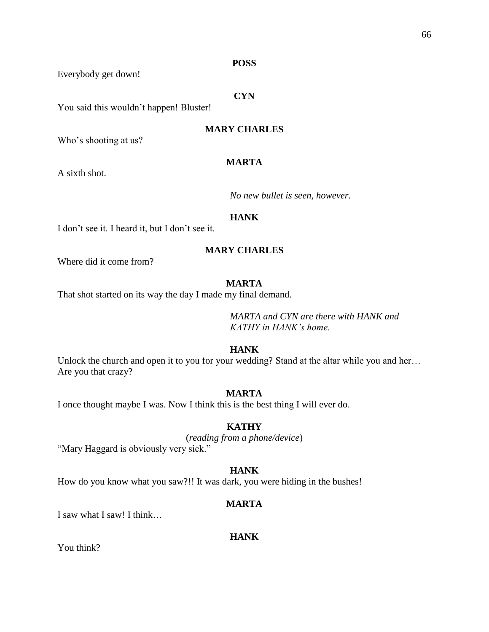#### **POSS**

Everybody get down!

## **CYN**

You said this wouldn't happen! Bluster!

## **MARY CHARLES**

Who's shooting at us?

#### **MARTA**

A sixth shot.

*No new bullet is seen, however.*

#### **HANK**

I don't see it. I heard it, but I don't see it.

## **MARY CHARLES**

Where did it come from?

#### **MARTA**

That shot started on its way the day I made my final demand.

*MARTA and CYN are there with HANK and KATHY in HANK's home.*

## **HANK**

Unlock the church and open it to you for your wedding? Stand at the altar while you and her... Are you that crazy?

#### **MARTA**

I once thought maybe I was. Now I think this is the best thing I will ever do.

## **KATHY**

(*reading from a phone/device*) "Mary Haggard is obviously very sick."

#### **HANK**

How do you know what you saw?!! It was dark, you were hiding in the bushes!

#### **MARTA**

I saw what I saw! I think…

#### **HANK**

You think?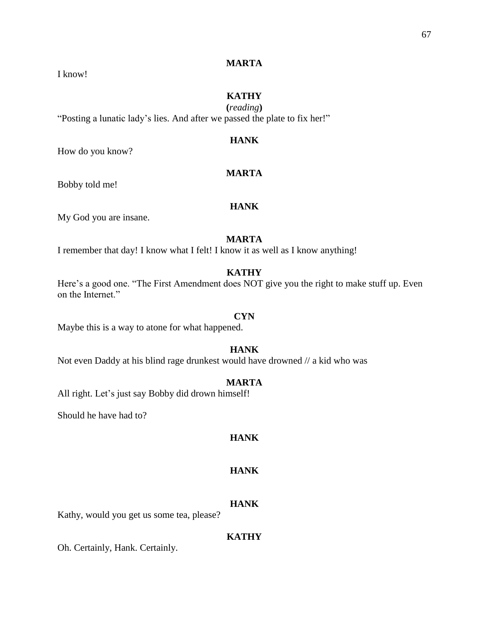#### **MARTA**

I know!

## **KATHY**

**(***reading***)** "Posting a lunatic lady's lies. And after we passed the plate to fix her!"

## **HANK**

How do you know?

## **MARTA**

Bobby told me!

## **HANK**

My God you are insane.

## **MARTA**

I remember that day! I know what I felt! I know it as well as I know anything!

## **KATHY**

Here's a good one. "The First Amendment does NOT give you the right to make stuff up. Even on the Internet."

#### **CYN**

Maybe this is a way to atone for what happened.

## **HANK**

Not even Daddy at his blind rage drunkest would have drowned // a kid who was

## **MARTA**

All right. Let's just say Bobby did drown himself!

Should he have had to?

## **HANK**

## **HANK**

#### **HANK**

Kathy, would you get us some tea, please?

#### **KATHY**

Oh. Certainly, Hank. Certainly.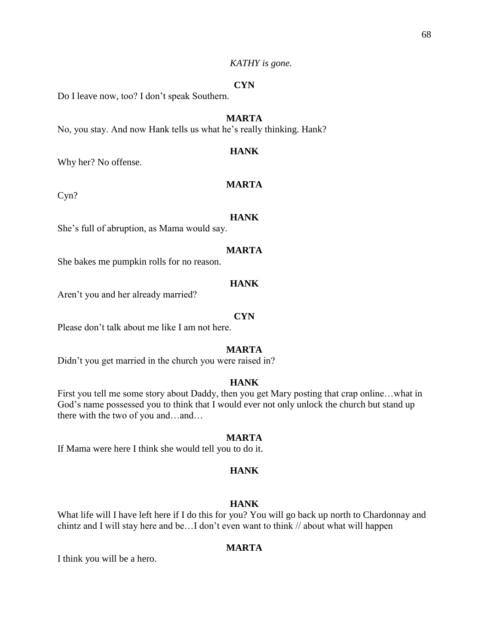#### *KATHY is gone.*

## **CYN**

Do I leave now, too? I don't speak Southern.

## **MARTA**

No, you stay. And now Hank tells us what he's really thinking. Hank?

## **HANK**

Why her? No offense.

## **MARTA**

Cyn?

#### **HANK**

She's full of abruption, as Mama would say.

#### **MARTA**

She bakes me pumpkin rolls for no reason.

#### **HANK**

Aren't you and her already married?

#### **CYN**

Please don't talk about me like I am not here.

#### **MARTA**

Didn't you get married in the church you were raised in?

## **HANK**

First you tell me some story about Daddy, then you get Mary posting that crap online…what in God's name possessed you to think that I would ever not only unlock the church but stand up there with the two of you and…and…

#### **MARTA**

If Mama were here I think she would tell you to do it.

#### **HANK**

#### **HANK**

What life will I have left here if I do this for you? You will go back up north to Chardonnay and chintz and I will stay here and be…I don't even want to think // about what will happen

## **MARTA**

I think you will be a hero.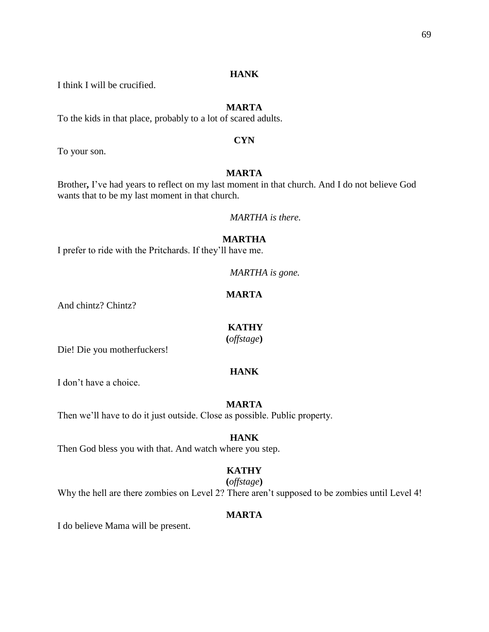## **HANK**

I think I will be crucified.

## **MARTA**

To the kids in that place, probably to a lot of scared adults.

## **CYN**

To your son.

## **MARTA**

Brother**,** I've had years to reflect on my last moment in that church. And I do not believe God wants that to be my last moment in that church.

*MARTHA is there.*

## **MARTHA**

I prefer to ride with the Pritchards. If they'll have me.

*MARTHA is gone.*

## **MARTA**

And chintz? Chintz?

## **KATHY**

**(***offstage***)**

Die! Die you motherfuckers!

## **HANK**

I don't have a choice.

#### **MARTA**

Then we'll have to do it just outside. Close as possible. Public property.

## **HANK**

Then God bless you with that. And watch where you step.

## **KATHY**

**(***offstage***)**

Why the hell are there zombies on Level 2? There aren't supposed to be zombies until Level 4!

## **MARTA**

I do believe Mama will be present.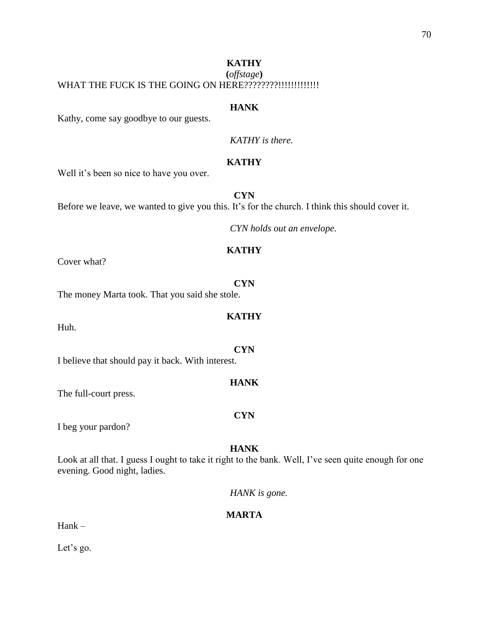## **KATHY (***offstage***)** WHAT THE FUCK IS THE GOING ON HERE????????!!!!!!!!!!!!!!!

#### **HANK**

Kathy, come say goodbye to our guests.

*KATHY is there.*

## **KATHY**

Well it's been so nice to have you over.

**CYN** Before we leave, we wanted to give you this. It's for the church. I think this should cover it.

*CYN holds out an envelope.*

## **KATHY**

Cover what?

#### **CYN**

**KATHY**

**CYN**

**HANK**

The money Marta took. That you said she stole.

Huh.

I believe that should pay it back. With interest.

The full-court press.

I beg your pardon?

## **HANK**

**CYN**

Look at all that. I guess I ought to take it right to the bank. Well, I've seen quite enough for one evening. Good night, ladies.

*HANK is gone.*

## **MARTA**

Hank –

Let's go.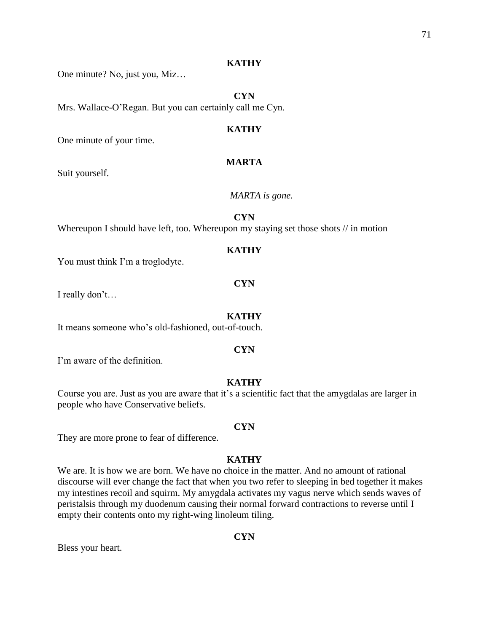#### **KATHY**

One minute? No, just you, Miz…

**CYN** Mrs. Wallace-O'Regan. But you can certainly call me Cyn.

#### **KATHY**

One minute of your time.

## **MARTA**

Suit yourself.

#### *MARTA is gone.*

**CYN**

Whereupon I should have left, too. Whereupon my staying set those shots // in motion

## **KATHY**

You must think I'm a troglodyte.

#### **CYN**

I really don't…

#### **KATHY**

It means someone who's old-fashioned, out-of-touch.

#### **CYN**

I'm aware of the definition.

## **KATHY**

Course you are. Just as you are aware that it's a scientific fact that the amygdalas are larger in people who have Conservative beliefs.

#### **CYN**

They are more prone to fear of difference.

#### **KATHY**

We are. It is how we are born. We have no choice in the matter. And no amount of rational discourse will ever change the fact that when you two refer to sleeping in bed together it makes my intestines recoil and squirm. My amygdala activates my vagus nerve which sends waves of peristalsis through my duodenum causing their normal forward contractions to reverse until I empty their contents onto my right-wing linoleum tiling.

#### **CYN**

Bless your heart.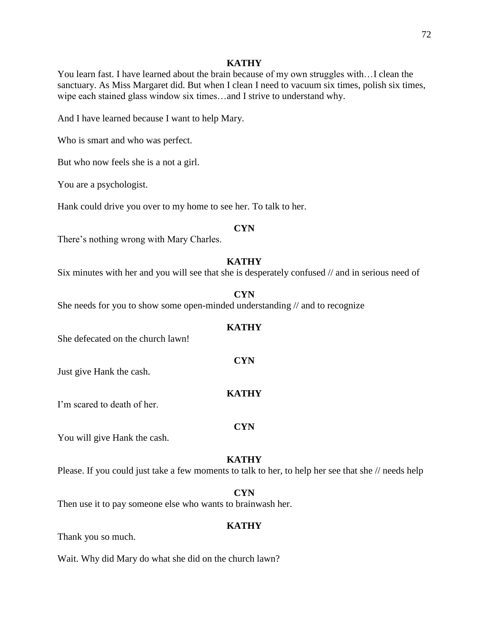#### **KATHY**

You learn fast. I have learned about the brain because of my own struggles with…I clean the sanctuary. As Miss Margaret did. But when I clean I need to vacuum six times, polish six times, wipe each stained glass window six times…and I strive to understand why.

And I have learned because I want to help Mary.

Who is smart and who was perfect.

But who now feels she is a not a girl.

You are a psychologist.

Hank could drive you over to my home to see her. To talk to her.

#### **CYN**

There's nothing wrong with Mary Charles.

#### **KATHY**

Six minutes with her and you will see that she is desperately confused // and in serious need of

#### **CYN**

She needs for you to show some open-minded understanding // and to recognize

## **KATHY**

**CYN**

**KATHY**

She defecated on the church lawn!

Just give Hank the cash.

I'm scared to death of her.

#### **CYN**

You will give Hank the cash.

#### **KATHY**

Please. If you could just take a few moments to talk to her, to help her see that she // needs help

#### **CYN**

Then use it to pay someone else who wants to brainwash her.

#### **KATHY**

Thank you so much.

Wait. Why did Mary do what she did on the church lawn?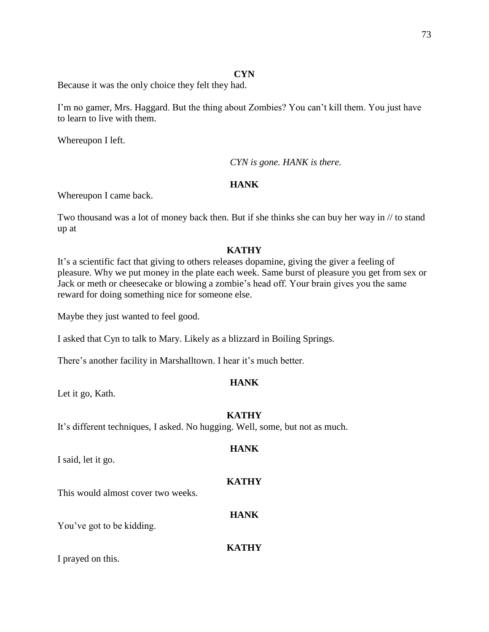## **CYN**

Because it was the only choice they felt they had.

I'm no gamer, Mrs. Haggard. But the thing about Zombies? You can't kill them. You just have to learn to live with them.

Whereupon I left.

*CYN is gone. HANK is there.*

## **HANK**

Whereupon I came back.

Two thousand was a lot of money back then. But if she thinks she can buy her way in // to stand up at

## **KATHY**

It's a scientific fact that giving to others releases dopamine, giving the giver a feeling of pleasure. Why we put money in the plate each week. Same burst of pleasure you get from sex or Jack or meth or cheesecake or blowing a zombie's head off. Your brain gives you the same reward for doing something nice for someone else.

Maybe they just wanted to feel good.

I asked that Cyn to talk to Mary. Likely as a blizzard in Boiling Springs.

There's another facility in Marshalltown. I hear it's much better.

## **HANK**

Let it go, Kath.

## **KATHY**

It's different techniques, I asked. No hugging. Well, some, but not as much.

I said, let it go.

# **KATHY**

**HANK**

This would almost cover two weeks.

## **HANK**

You've got to be kidding.

## **KATHY**

I prayed on this.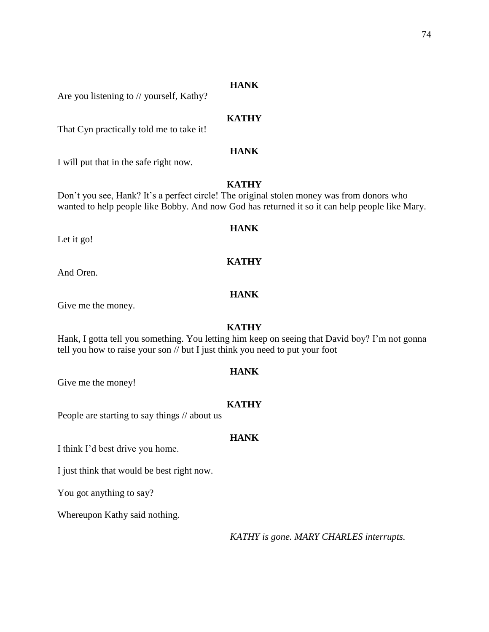## **HANK**

Are you listening to // yourself, Kathy?

## **KATHY**

That Cyn practically told me to take it!

## **HANK**

I will put that in the safe right now.

## **KATHY**

Don't you see, Hank? It's a perfect circle! The original stolen money was from donors who wanted to help people like Bobby. And now God has returned it so it can help people like Mary.

## **HANK**

**KATHY**

Let it go!

And Oren.

## **HANK**

Give me the money.

## **KATHY**

Hank, I gotta tell you something. You letting him keep on seeing that David boy? I'm not gonna tell you how to raise your son // but I just think you need to put your foot

#### **HANK**

Give me the money!

#### **KATHY**

People are starting to say things // about us

#### **HANK**

I think I'd best drive you home.

I just think that would be best right now.

You got anything to say?

Whereupon Kathy said nothing.

*KATHY is gone. MARY CHARLES interrupts.*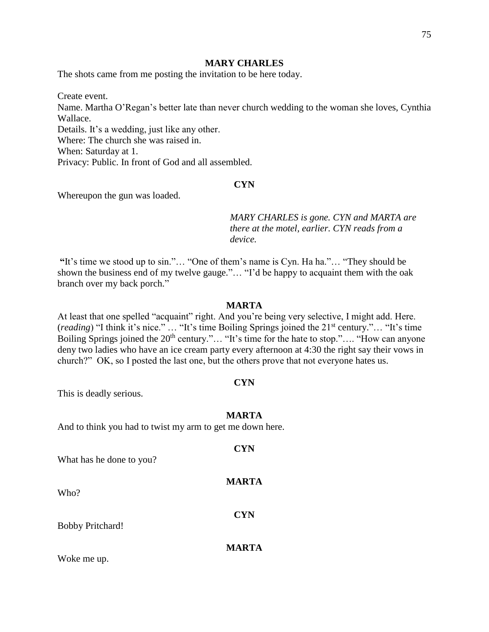#### **MARY CHARLES**

The shots came from me posting the invitation to be here today.

Create event. Name. Martha O'Regan's better late than never church wedding to the woman she loves, Cynthia Wallace. Details. It's a wedding, just like any other. Where: The church she was raised in. When: Saturday at 1. Privacy: Public. In front of God and all assembled.

## **CYN**

Whereupon the gun was loaded.

*MARY CHARLES is gone. CYN and MARTA are there at the motel, earlier. CYN reads from a device.*

**"**It's time we stood up to sin."… "One of them's name is Cyn. Ha ha."… "They should be shown the business end of my twelve gauge."… "I'd be happy to acquaint them with the oak branch over my back porch."

#### **MARTA**

At least that one spelled "acquaint" right. And you're being very selective, I might add. Here. (*reading*) "I think it's nice." … "It's time Boiling Springs joined the 21st century."… "It's time Boiling Springs joined the 20<sup>th</sup> century."... "It's time for the hate to stop.".... "How can anyone deny two ladies who have an ice cream party every afternoon at 4:30 the right say their vows in church?" OK, so I posted the last one, but the others prove that not everyone hates us.

#### **CYN**

This is deadly serious.

#### **MARTA**

**CYN**

**MARTA**

**CYN**

**MARTA**

And to think you had to twist my arm to get me down here.

What has he done to you?

Who?

Bobby Pritchard!

Woke me up.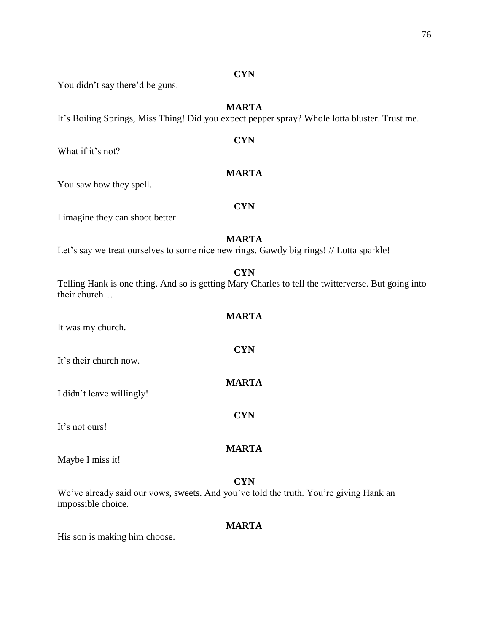#### **CYN**

You didn't say there'd be guns.

## **MARTA**

**CYN**

**MARTA**

It's Boiling Springs, Miss Thing! Did you expect pepper spray? Whole lotta bluster. Trust me.

What if it's not?

You saw how they spell.

#### **CYN**

I imagine they can shoot better.

## **MARTA**

Let's say we treat ourselves to some nice new rings. Gawdy big rings! // Lotta sparkle!

**CYN**

Telling Hank is one thing. And so is getting Mary Charles to tell the twitterverse. But going into their church…

| It was my church.         | <b>MARTA</b> |
|---------------------------|--------------|
| It's their church now.    | <b>CYN</b>   |
| I didn't leave willingly! | <b>MARTA</b> |
| It's not ours!            | <b>CYN</b>   |
| Maybe I miss it!          | <b>MARTA</b> |

#### **CYN**

We've already said our vows, sweets. And you've told the truth. You're giving Hank an impossible choice.

## **MARTA**

His son is making him choose.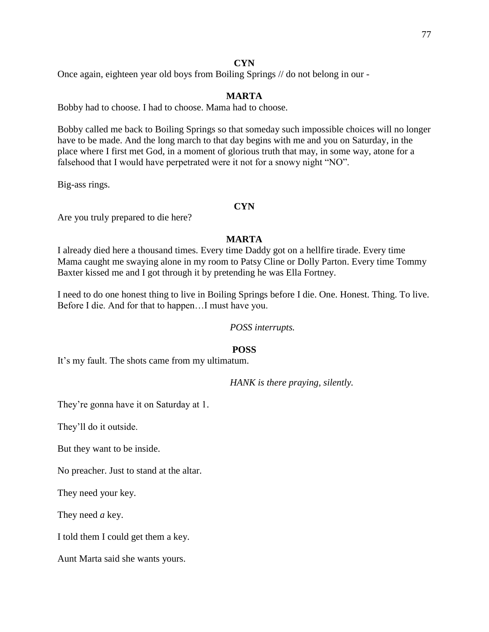## **CYN**

Once again, eighteen year old boys from Boiling Springs // do not belong in our -

## **MARTA**

Bobby had to choose. I had to choose. Mama had to choose.

Bobby called me back to Boiling Springs so that someday such impossible choices will no longer have to be made. And the long march to that day begins with me and you on Saturday, in the place where I first met God, in a moment of glorious truth that may, in some way, atone for a falsehood that I would have perpetrated were it not for a snowy night "NO".

Big-ass rings.

## **CYN**

Are you truly prepared to die here?

## **MARTA**

I already died here a thousand times. Every time Daddy got on a hellfire tirade. Every time Mama caught me swaying alone in my room to Patsy Cline or Dolly Parton. Every time Tommy Baxter kissed me and I got through it by pretending he was Ella Fortney.

I need to do one honest thing to live in Boiling Springs before I die. One. Honest. Thing. To live. Before I die. And for that to happen…I must have you.

#### *POSS interrupts.*

#### **POSS**

It's my fault. The shots came from my ultimatum.

*HANK is there praying, silently.*

They're gonna have it on Saturday at 1.

They'll do it outside.

But they want to be inside.

No preacher. Just to stand at the altar.

They need your key.

They need *a* key.

I told them I could get them a key.

Aunt Marta said she wants yours.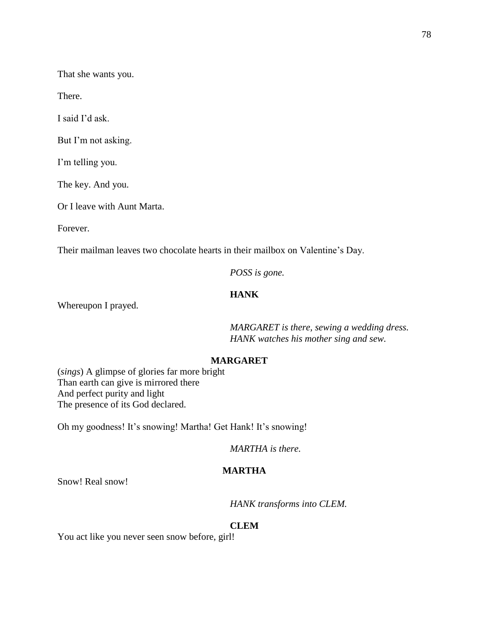That she wants you.

There.

I said I'd ask.

But I'm not asking.

I'm telling you.

The key. And you.

Or I leave with Aunt Marta.

Forever.

Their mailman leaves two chocolate hearts in their mailbox on Valentine's Day.

*POSS is gone.* 

## **HANK**

Whereupon I prayed.

*MARGARET is there, sewing a wedding dress. HANK watches his mother sing and sew.*

## **MARGARET**

(*sings*) A glimpse of glories far more bright Than earth can give is mirrored there And perfect purity and light The presence of its God declared.

Oh my goodness! It's snowing! Martha! Get Hank! It's snowing!

*MARTHA is there.*

## **MARTHA**

Snow! Real snow!

*HANK transforms into CLEM.*

#### **CLEM**

You act like you never seen snow before, girl!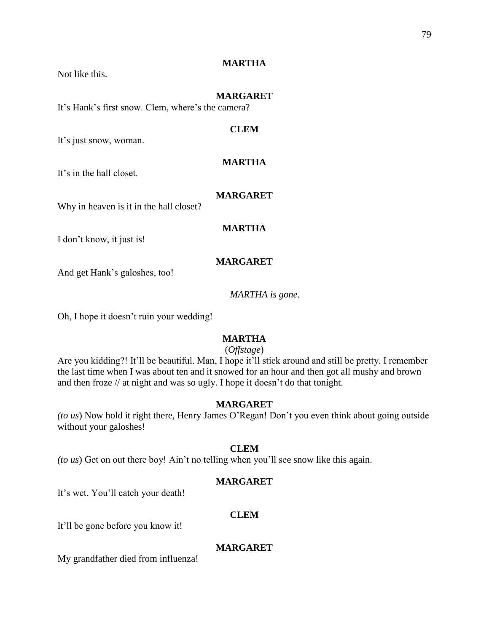## Not like this.

## **MARTHA**

#### **MARGARET**

It's Hank's first snow. Clem, where's the camera?

## **CLEM**

It's just snow, woman.

### **MARTHA**

It's in the hall closet.

#### **MARGARET**

Why in heaven is it in the hall closet?

## **MARTHA**

I don't know, it just is!

#### **MARGARET**

And get Hank's galoshes, too!

*MARTHA is gone.*

Oh, I hope it doesn't ruin your wedding!

## **MARTHA**

## (*Offstage*)

Are you kidding?! It'll be beautiful. Man, I hope it'll stick around and still be pretty. I remember the last time when I was about ten and it snowed for an hour and then got all mushy and brown and then froze // at night and was so ugly. I hope it doesn't do that tonight.

## **MARGARET**

*(to us*) Now hold it right there, Henry James O'Regan! Don't you even think about going outside without your galoshes!

#### **CLEM**

*(to us*) Get on out there boy! Ain't no telling when you'll see snow like this again.

#### **MARGARET**

It's wet. You'll catch your death!

## **CLEM**

It'll be gone before you know it!

## **MARGARET**

My grandfather died from influenza!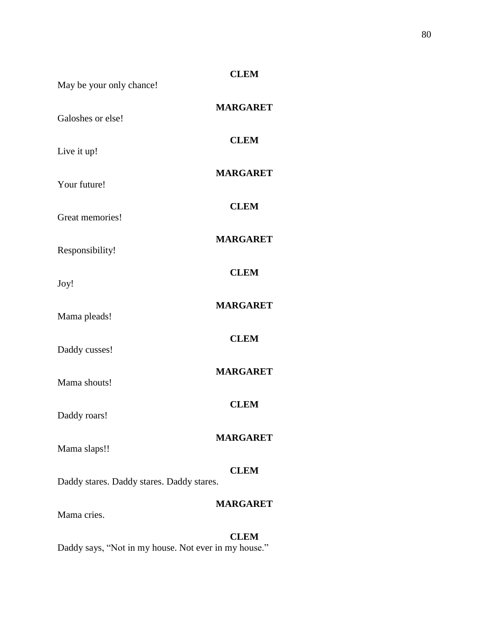| May be your only chance!                                 | <b>CLEM</b>     |
|----------------------------------------------------------|-----------------|
| Galoshes or else!                                        | <b>MARGARET</b> |
| Live it up!                                              | <b>CLEM</b>     |
| Your future!                                             | <b>MARGARET</b> |
| Great memories!                                          | <b>CLEM</b>     |
| Responsibility!                                          | <b>MARGARET</b> |
| Joy!                                                     | <b>CLEM</b>     |
|                                                          | <b>MARGARET</b> |
| Mama pleads!                                             | <b>CLEM</b>     |
| Daddy cusses!                                            | <b>MARGARET</b> |
| Mama shouts!                                             | <b>CLEM</b>     |
| Daddy roars!                                             | <b>MARGARET</b> |
| Mama slaps!!                                             |                 |
| <b>CLEM</b><br>Daddy stares. Daddy stares. Daddy stares. |                 |
| Mama cries.                                              | <b>MARGARET</b> |
|                                                          |                 |

**CLEM** Daddy says, "Not in my house. Not ever in my house."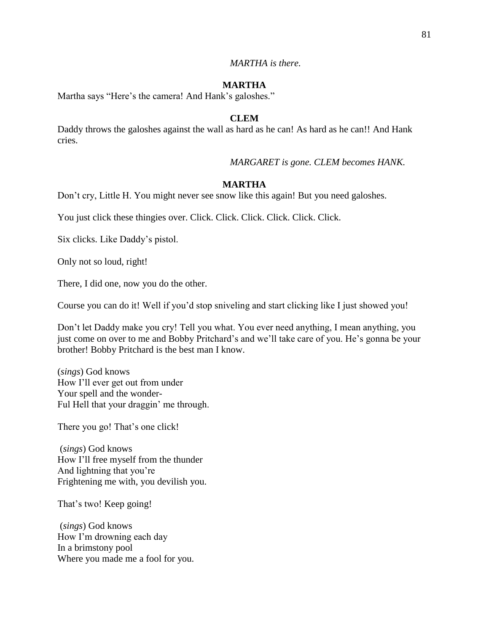## **MARTHA**

Martha says "Here's the camera! And Hank's galoshes."

## **CLEM**

Daddy throws the galoshes against the wall as hard as he can! As hard as he can!! And Hank cries.

*MARGARET is gone. CLEM becomes HANK.*

## **MARTHA**

Don't cry, Little H. You might never see snow like this again! But you need galoshes.

You just click these thingies over. Click. Click. Click. Click. Click. Click.

Six clicks. Like Daddy's pistol.

Only not so loud, right!

There, I did one, now you do the other.

Course you can do it! Well if you'd stop sniveling and start clicking like I just showed you!

Don't let Daddy make you cry! Tell you what. You ever need anything, I mean anything, you just come on over to me and Bobby Pritchard's and we'll take care of you. He's gonna be your brother! Bobby Pritchard is the best man I know.

(*sings*) God knows How I'll ever get out from under Your spell and the wonder-Ful Hell that your draggin' me through.

There you go! That's one click!

(*sings*) God knows How I'll free myself from the thunder And lightning that you're Frightening me with, you devilish you.

That's two! Keep going!

(*sings*) God knows How I'm drowning each day In a brimstony pool Where you made me a fool for you.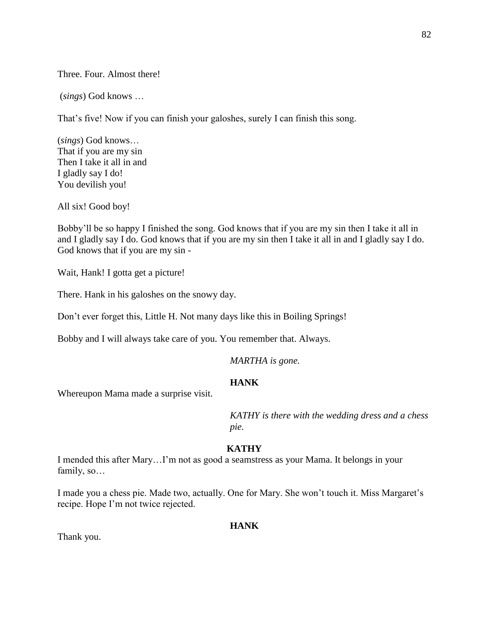Three. Four. Almost there!

(*sings*) God knows …

That's five! Now if you can finish your galoshes, surely I can finish this song.

(*sings*) God knows… That if you are my sin Then I take it all in and I gladly say I do! You devilish you!

All six! Good boy!

Bobby'll be so happy I finished the song. God knows that if you are my sin then I take it all in and I gladly say I do. God knows that if you are my sin then I take it all in and I gladly say I do. God knows that if you are my sin -

Wait, Hank! I gotta get a picture!

There. Hank in his galoshes on the snowy day.

Don't ever forget this, Little H. Not many days like this in Boiling Springs!

Bobby and I will always take care of you. You remember that. Always.

*MARTHA is gone.*

## **HANK**

Whereupon Mama made a surprise visit.

*KATHY is there with the wedding dress and a chess pie.*

#### **KATHY**

I mended this after Mary…I'm not as good a seamstress as your Mama. It belongs in your family, so…

I made you a chess pie. Made two, actually. One for Mary. She won't touch it. Miss Margaret's recipe. Hope I'm not twice rejected.

#### **HANK**

Thank you.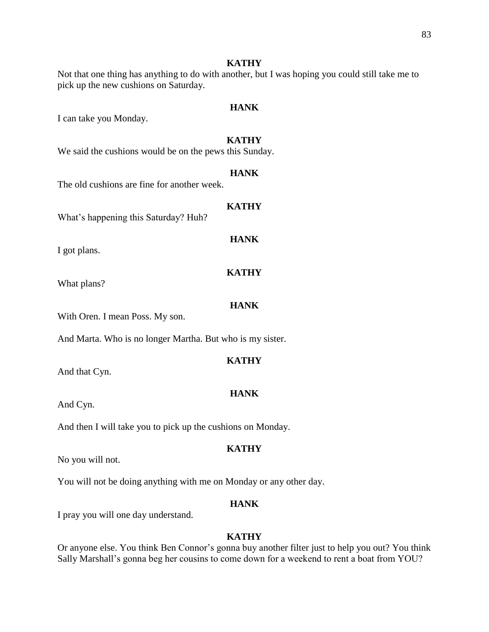#### **KATHY**

Not that one thing has anything to do with another, but I was hoping you could still take me to pick up the new cushions on Saturday.

#### **HANK**

I can take you Monday.

## **KATHY**

We said the cushions would be on the pews this Sunday.

#### **HANK**

The old cushions are fine for another week.

## **KATHY**

**HANK**

What's happening this Saturday? Huh?

I got plans.

What plans?

#### **HANK**

**KATHY**

With Oren. I mean Poss. My son.

And Marta. Who is no longer Martha. But who is my sister.

#### **KATHY**

And that Cyn.

And Cyn.

And then I will take you to pick up the cushions on Monday.

No you will not.

You will not be doing anything with me on Monday or any other day.

#### **HANK**

I pray you will one day understand.

## **KATHY**

Or anyone else. You think Ben Connor's gonna buy another filter just to help you out? You think Sally Marshall's gonna beg her cousins to come down for a weekend to rent a boat from YOU?

**HANK**

**KATHY**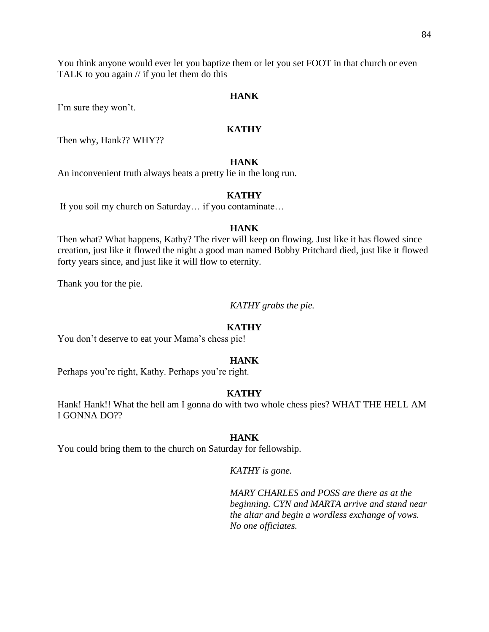You think anyone would ever let you baptize them or let you set FOOT in that church or even TALK to you again // if you let them do this

#### **HANK**

I'm sure they won't.

## **KATHY**

Then why, Hank?? WHY??

## **HANK**

An inconvenient truth always beats a pretty lie in the long run.

#### **KATHY**

If you soil my church on Saturday… if you contaminate…

## **HANK**

Then what? What happens, Kathy? The river will keep on flowing. Just like it has flowed since creation, just like it flowed the night a good man named Bobby Pritchard died, just like it flowed forty years since, and just like it will flow to eternity.

Thank you for the pie.

*KATHY grabs the pie.*

#### **KATHY**

You don't deserve to eat your Mama's chess pie!

#### **HANK**

Perhaps you're right, Kathy. Perhaps you're right.

#### **KATHY**

Hank! Hank!! What the hell am I gonna do with two whole chess pies? WHAT THE HELL AM I GONNA DO??

#### **HANK**

You could bring them to the church on Saturday for fellowship.

*KATHY is gone.*

*MARY CHARLES and POSS are there as at the beginning. CYN and MARTA arrive and stand near the altar and begin a wordless exchange of vows. No one officiates.*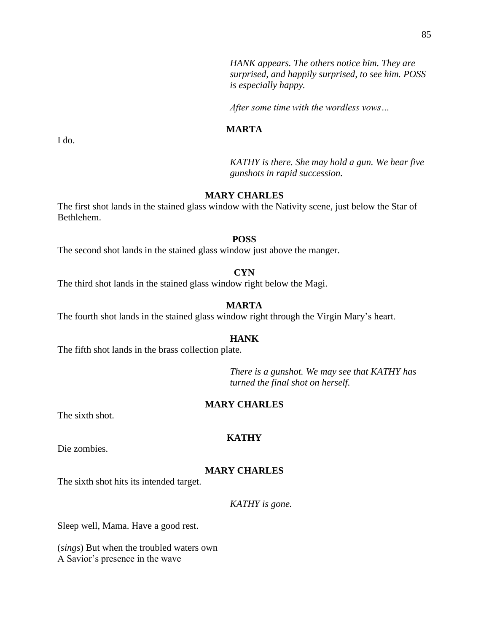*HANK appears. The others notice him. They are surprised, and happily surprised, to see him. POSS is especially happy.*

*After some time with the wordless vows…*

#### **MARTA**

*KATHY is there. She may hold a gun. We hear five gunshots in rapid succession.*

## **MARY CHARLES**

The first shot lands in the stained glass window with the Nativity scene, just below the Star of Bethlehem.

#### **POSS**

The second shot lands in the stained glass window just above the manger.

## **CYN**

The third shot lands in the stained glass window right below the Magi.

## **MARTA**

The fourth shot lands in the stained glass window right through the Virgin Mary's heart.

#### **HANK**

The fifth shot lands in the brass collection plate.

*There is a gunshot. We may see that KATHY has turned the final shot on herself.*

## **MARY CHARLES**

The sixth shot.

#### **KATHY**

Die zombies.

## **MARY CHARLES**

The sixth shot hits its intended target.

*KATHY is gone.*

Sleep well, Mama. Have a good rest.

(*sings*) But when the troubled waters own A Savior's presence in the wave

I do.